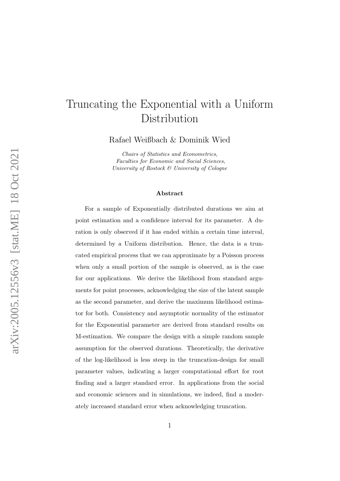# Truncating the Exponential with a Uniform Distribution

Rafael Weißbach & Dominik Wied

Chairs of Statistics and Econometrics, Faculties for Economic and Social Sciences, University of Rostock & University of Cologne

#### Abstract

For a sample of Exponentially distributed durations we aim at point estimation and a confidence interval for its parameter. A duration is only observed if it has ended within a certain time interval, determined by a Uniform distribution. Hence, the data is a truncated empirical process that we can approximate by a Poisson process when only a small portion of the sample is observed, as is the case for our applications. We derive the likelihood from standard arguments for point processes, acknowledging the size of the latent sample as the second parameter, and derive the maximum likelihood estimator for both. Consistency and asymptotic normality of the estimator for the Exponential parameter are derived from standard results on M-estimation. We compare the design with a simple random sample assumption for the observed durations. Theoretically, the derivative of the log-likelihood is less steep in the truncation-design for small parameter values, indicating a larger computational effort for root finding and a larger standard error. In applications from the social and economic sciences and in simulations, we indeed, find a moderately increased standard error when acknowledging truncation.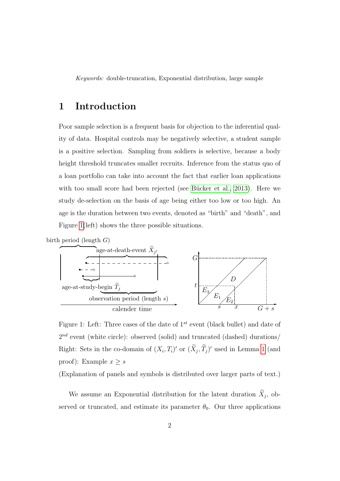Keywords: double-truncation, Exponential distribution, large sample

#### 1 Introduction

Poor sample selection is a frequent basis for objection to the inferential quality of data. Hospital controls may be negatively selective, a student sample is a positive selection. Sampling from soldiers is selective, because a body height threshold truncates smaller recruits. Inference from the status quo of a loan portfolio can take into account the fact that earlier loan applications with too small score had been rejected (see Bücker et al., 2013). Here we study de-selection on the basis of age being either too low or too high. An age is the duration between two events, denoted as "birth" and "death", and Figure [1\(](#page-1-0)left) shows the three possible situations.



<span id="page-1-0"></span>Figure 1: Left: Three cases of the date of  $1^{st}$  event (black bullet) and date of  $2^{nd}$  event (white circle): observed (solid) and truncated (dashed) durations/ Right: Sets in the co-domain of  $(X_i, T_i)'$  or  $(\tilde{X}_j, \tilde{T}_j)'$  used in Lemma [1](#page-6-0) (and proof): Example  $x \geq s$ 

(Explanation of panels and symbols is distributed over larger parts of text.)

We assume an Exponential distribution for the latent duration  $X_j$ , observed or truncated, and estimate its parameter  $\theta_0$ . Our three applications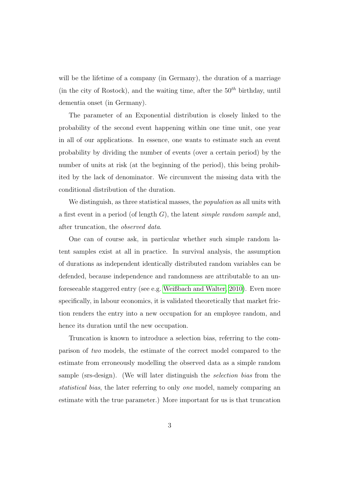will be the lifetime of a company (in Germany), the duration of a marriage (in the city of Rostock), and the waiting time, after the  $50<sup>th</sup>$  birthday, until dementia onset (in Germany).

The parameter of an Exponential distribution is closely linked to the probability of the second event happening within one time unit, one year in all of our applications. In essence, one wants to estimate such an event probability by dividing the number of events (over a certain period) by the number of units at risk (at the beginning of the period), this being prohibited by the lack of denominator. We circumvent the missing data with the conditional distribution of the duration.

We distinguish, as three statistical masses, the *population* as all units with a first event in a period (of length  $G$ ), the latent *simple random sample* and, after truncation, the observed data.

One can of course ask, in particular whether such simple random latent samples exist at all in practice. In survival analysis, the assumption of durations as independent identically distributed random variables can be defended, because independence and randomness are attributable to an unforeseeable staggered entry (see e.g. [Weißbach and Walter, 2010\)](#page-26-0). Even more specifically, in labour economics, it is validated theoretically that market friction renders the entry into a new occupation for an employee random, and hence its duration until the new occupation.

Truncation is known to introduce a selection bias, referring to the comparison of two models, the estimate of the correct model compared to the estimate from erroneously modelling the observed data as a simple random sample (srs-design). (We will later distinguish the selection bias from the statistical bias, the later referring to only one model, namely comparing an estimate with the true parameter.) More important for us is that truncation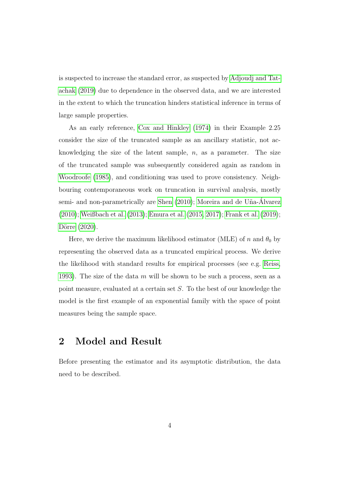is suspected to increase the standard error, as suspected by [Adjoudj and Tat](#page-25-1)[achak](#page-25-1) [\(2019\)](#page-25-1) due to dependence in the observed data, and we are interested in the extent to which the truncation hinders statistical inference in terms of large sample properties.

As an early reference, [Cox and Hinkley](#page-25-2) [\(1974\)](#page-25-2) in their Example 2.25 consider the size of the truncated sample as an ancillary statistic, not acknowledging the size of the latent sample,  $n$ , as a parameter. The size of the truncated sample was subsequently considered again as random in [Woodroofe](#page-27-0) [\(1985\)](#page-27-0), and conditioning was used to prove consistency. Neighbouring contemporaneous work on truncation in survival analysis, mostly semi- and non-parametrically are [Shen](#page-26-1) [\(2010\)](#page-26-1); Moreira and de Uña-Alvarez [\(2010\)](#page-26-2); [Weißbach et al.](#page-27-1) [\(2013\)](#page-27-1); [Emura et al.](#page-25-3) [\(2015,](#page-25-3) [2017\)](#page-25-4); [Frank et al.](#page-26-3) [\(2019\)](#page-26-3); Dörre [\(2020\)](#page-25-5).

Here, we derive the maximum likelihood estimator (MLE) of n and  $\theta_0$  by representing the observed data as a truncated empirical process. We derive the likelihood with standard results for empirical processes (see e.g. [Reiss,](#page-26-4) [1993\)](#page-26-4). The size of the data  $m$  will be shown to be such a process, seen as a point measure, evaluated at a certain set S. To the best of our knowledge the model is the first example of an exponential family with the space of point measures being the sample space.

# 2 Model and Result

Before presenting the estimator and its asymptotic distribution, the data need to be described.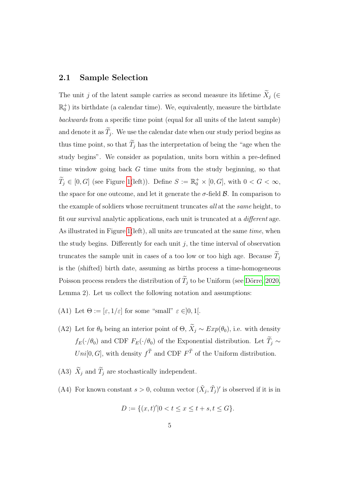#### 2.1 Sample Selection

The unit j of the latent sample carries as second measure its lifetime  $\widetilde{X}_j$  (∈  $\mathbb{R}_0^+$ ) its birthdate (a calendar time). We, equivalently, measure the birthdate backwards from a specific time point (equal for all units of the latent sample) and denote it as  $T_j$ . We use the calendar date when our study period begins as thus time point, so that  $\widetilde{T}_j$  has the interpretation of being the "age when the study begins". We consider as population, units born within a pre-defined time window going back G time units from the study beginning, so that  $\widetilde{T}_j \in [0, G]$  (see Figure [1\(](#page-1-0)left)). Define  $S := \mathbb{R}_0^+ \times [0, G]$ , with  $0 < G < \infty$ , the space for one outcome, and let it generate the  $\sigma$ -field  $\beta$ . In comparison to the example of soldiers whose recruitment truncates all at the *same* height, to fit our survival analytic applications, each unit is truncated at a different age. As illustrated in Figure [1\(](#page-1-0)left), all units are truncated at the same time, when the study begins. Differently for each unit  $j$ , the time interval of observation truncates the sample unit in cases of a too low or too high age. Because  $\widetilde{T}_j$ is the (shifted) birth date, assuming as births process a time-homogeneous Poisson process renders the distribution of  $\widetilde{T}_j$  to be Uniform (see Dörre, 2020, Lemma 2). Let us collect the following notation and assumptions:

- <span id="page-4-1"></span>(A1) Let  $\Theta := [\varepsilon, 1/\varepsilon]$  for some "small"  $\varepsilon \in ]0,1[$ .
- <span id="page-4-3"></span>(A2) Let for  $\theta_0$  being an interior point of  $\Theta$ ,  $\widetilde{X}_j \sim Exp(\theta_0)$ , i.e. with density  $f_E(\cdot/\theta_0)$  and CDF  $F_E(\cdot/\theta_0)$  of the Exponential distribution. Let  $\widetilde{T}_j \sim$ Uni[0, G], with density  $f^T$  and CDF  $F^T$  of the Uniform distribution.
- <span id="page-4-2"></span>(A3)  $\widetilde{X}_j$  and  $\widetilde{T}_j$  are stochastically independent.
- <span id="page-4-0"></span>(A4) For known constant  $s > 0$ , column vector  $(\tilde{X}_j, \tilde{T}_j)'$  is observed if it is in

$$
D := \{(x, t)'\, | \, 0 < t \le x \le t + s, t \le G\}.
$$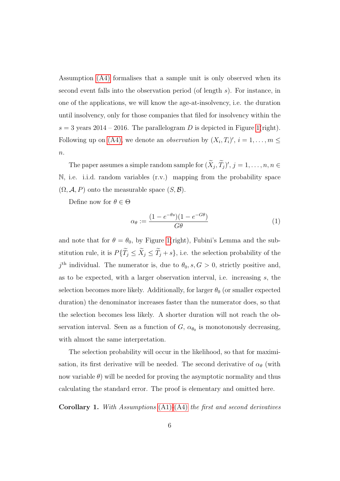Assumption [\(A4\)](#page-4-0) formalises that a sample unit is only observed when its second event falls into the observation period (of length s). For instance, in one of the applications, we will know the age-at-insolvency, i.e. the duration until insolvency, only for those companies that filed for insolvency within the  $s = 3$  years 2014 – 2016. The parallelogram D is depicted in Figure [1\(](#page-1-0)right). Following up on [\(A4\),](#page-4-0) we denote an *observation* by  $(X_i, T_i)'$ ,  $i = 1, ..., m \leq$  $\overline{n}$ .

The paper assumes a simple random sample for  $(\tilde{X}_j, \tilde{T}_j)'$ ,  $j = 1, \ldots, n, n \in$ N, i.e. i.i.d. random variables (r.v.) mapping from the probability space  $(\Omega, \mathcal{A}, P)$  onto the measurable space  $(S, \mathcal{B})$ .

Define now for  $\theta \in \Theta$ 

<span id="page-5-0"></span>
$$
\alpha_{\theta} := \frac{(1 - e^{-\theta s})(1 - e^{-G\theta})}{G\theta} \tag{1}
$$

and note that for  $\theta = \theta_0$ , by Figure [1\(](#page-1-0)right), Fubini's Lemma and the substitution rule, it is  $P\{\widetilde{T}_j\leq \widetilde{X}_j\leq \widetilde{T}_j+s\}$ , i.e. the selection probability of the  $j<sup>th</sup>$  individual. The numerator is, due to  $\theta_0$ , s,  $G > 0$ , strictly positive and, as to be expected, with a larger observation interval, i.e. increasing s, the selection becomes more likely. Additionally, for larger  $\theta_0$  (or smaller expected duration) the denominator increases faster than the numerator does, so that the selection becomes less likely. A shorter duration will not reach the observation interval. Seen as a function of  $G$ ,  $\alpha_{\theta_0}$  is monotonously decreasing, with almost the same interpretation.

The selection probability will occur in the likelihood, so that for maximisation, its first derivative will be needed. The second derivative of  $\alpha_{\theta}$  (with now variable  $\theta$ ) will be needed for proving the asymptotic normality and thus calculating the standard error. The proof is elementary and omitted here.

<span id="page-5-1"></span>**Corollary 1.** With Assumptions  $(A1)$ - $(A4)$  the first and second derivatives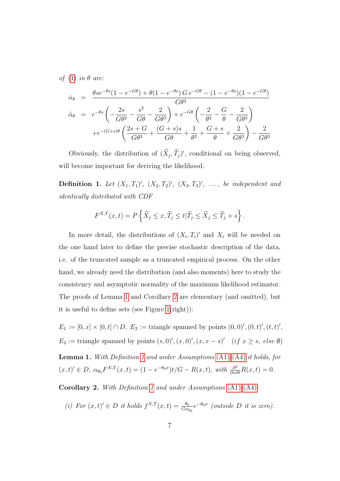of [\(1\)](#page-5-0) in  $\theta$  are:

$$
\dot{\alpha}_{\theta} = \frac{\theta s e^{-\theta s} (1 - e^{-G\theta}) + \theta (1 - e^{-\theta s}) G e^{-G\theta} - (1 - e^{-\theta s}) (1 - e^{-G\theta})}{G\theta^2}
$$
\n
$$
\ddot{\alpha}_{\theta} = e^{-\theta s} \left( -\frac{2s}{G\theta^2} - \frac{s^2}{G\theta} - \frac{2}{G\theta^3} \right) + e^{-G\theta} \left( -\frac{2}{\theta^2} - \frac{G}{\theta} - \frac{2}{G\theta^3} \right)
$$
\n
$$
+ e^{-(G+s)\theta} \left( \frac{2s + G}{G\theta^2} + \frac{(G+s)s}{G\theta} + \frac{1}{\theta^2} + \frac{G+s}{\theta} + \frac{2}{G\theta^3} \right) - \frac{2}{G\theta^3}
$$

Obviously, the distribution of  $(\tilde{X}_j, \tilde{T}_j)'$ , conditional on being observed, will become important for deriving the likelihood.

<span id="page-6-2"></span>**Definition 1.** Let  $(X_1, T_1)'$ ,  $(X_2, T_2)'$ ,  $(X_3, T_3)'$ , ..., be independent and identically distributed with CDF

$$
F^{X,T}(x,t) = P\left\{\widetilde{X}_j \le x, \widetilde{T}_j \le t | \widetilde{T}_j \le \widetilde{X}_j \le \widetilde{T}_j + s\right\}.
$$

In more detail, the distributions of  $(X_i, T_i)'$  and  $X_i$  will be needed on the one hand later to define the precise stochastic description of the data, i.e. of the truncated sample as a truncated empirical process. On the other hand, we already need the distribution (and also moments) here to study the consistency and asymptotic normality of the maximum likelihood estimator. The proofs of Lemma [1](#page-6-0) and Corollary [2](#page-6-1) are elementary (and omitted), but it is useful to define sets (see Figure [1\(](#page-1-0)right)):

<span id="page-6-0"></span> $E_1 := [0, x] \times [0, t] \cap D$ ,  $E_3 :=$  triangle spanned by points  $(0, 0)'$ ,  $(0, t)'$ ,  $(t, t)'$ , E<sub>2</sub> := triangle spanned by points  $(s, 0)$ ',  $(x, 0)$ ',  $(x, x - s)$ ' (if  $x \geq s$ , else Ø) Lemma 1. With Definition [1](#page-6-2) and under Assumptions [\(A1\)](#page-4-1)-[\(A4\)](#page-4-0) it holds, for  $(x,t)' \in D$ ,  $\alpha_{\theta_0} F^{X,T}(x,t) = (1 - e^{-\theta_0 x})t/G - R(x,t)$ , with  $\frac{\partial^2}{\partial x \partial t} R(x,t) = 0$ .

<span id="page-6-1"></span>Corollary 2. With Definition [1](#page-6-2) and under Assumptions [\(A1\)](#page-4-1)-[\(A4\)](#page-4-0):

(i) For 
$$
(x, t) \in D
$$
 it holds  $f^{X,T}(x,t) = \frac{\theta_0}{G\alpha_{\theta_0}} e^{-\theta_0 x}$  (outside D it is zero).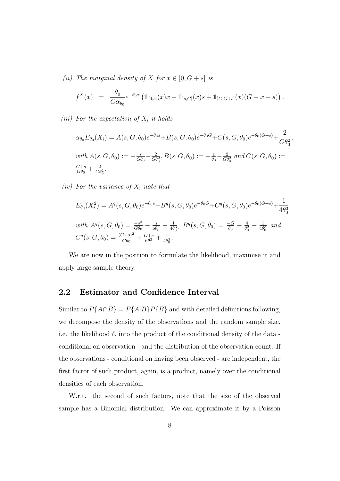(ii) The marginal density of X for  $x \in [0, G + s]$  is

$$
f^X(x) = \frac{\theta_0}{G\alpha_{\theta_0}} e^{-\theta_0 x} \left( \mathbb{1}_{[0,s]}(x) x + \mathbb{1}_{]s,G]}(x) s + \mathbb{1}_{]G,G+s]}(x) (G - x + s) \right).
$$

(iii) For the expectation of  $X_i$  it holds

$$
\alpha_{\theta_0} E_{\theta_0}(X_i) = A(s, G, \theta_0) e^{-\theta_0 s} + B(s, G, \theta_0) e^{-\theta_0 G} + C(s, G, \theta_0) e^{-\theta_0 (G+s)} + \frac{2}{G \theta_0^2},
$$
  
with  $A(s, G, \theta_0) := -\frac{s}{G \theta_0} - \frac{2}{G \theta_0^2}$ ,  $B(s, G, \theta_0) := -\frac{1}{\theta_0} - \frac{2}{G \theta_0^2}$  and  $C(s, G, \theta_0) := \frac{G+s}{G \theta_0} + \frac{2}{G \theta_0^2}$ .

(iv) For the variance of  $X_i$  note that

$$
E_{\theta_0}(X_i^2) = A^q(s, G, \theta_0)e^{-\theta_0 s} + B^q(s, G, \theta_0)e^{-\theta_0 G} + C^q(s, G, \theta_0)e^{-\theta_0(G+s)} + \frac{1}{4\theta_0^3}
$$
  
with  $A^q(s, G, \theta_0) = \frac{-s^2}{G\theta_0} - \frac{s}{6\theta_0^2} - \frac{1}{4\theta_0^3}$ ,  $B^q(s, G, \theta_0) = \frac{-G}{\theta_0} - \frac{4}{\theta_0^2} - \frac{1}{4\theta_0^3}$  and  
 $C^q(s, G, \theta_0) = \frac{(G+s)^2}{G\theta_0} + \frac{G+s}{6\theta^2} + \frac{1}{4\theta_0^3}$ .

We are now in the position to formulate the likelihood, maximise it and apply large sample theory.

#### 2.2 Estimator and Confidence Interval

Similar to  $P\{A \cap B\} = P\{A|B\}P\{B\}$  and with detailed definitions following, we decompose the density of the observations and the random sample size, i.e. the likelihood  $\ell$ , into the product of the conditional density of the data conditional on observation - and the distribution of the observation count. If the observations - conditional on having been observed - are independent, the first factor of such product, again, is a product, namely over the conditional densities of each observation.

W.r.t. the second of such factors, note that the size of the observed sample has a Binomial distribution. We can approximate it by a Poisson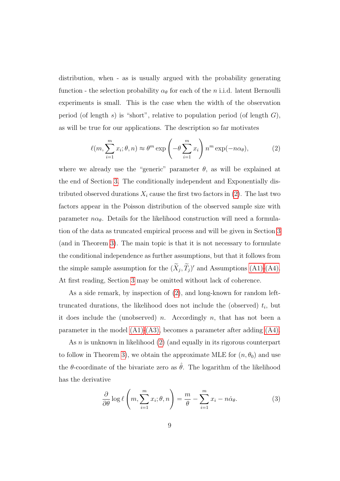distribution, when - as is usually argued with the probability generating function - the selection probability  $\alpha_{\theta}$  for each of the *n* i.i.d. latent Bernoulli experiments is small. This is the case when the width of the observation period (of length s) is "short", relative to population period (of length  $G$ ), as will be true for our applications. The description so far motivates

<span id="page-8-0"></span>
$$
\ell(m, \sum_{i=1}^{m} x_i; \theta, n) \approx \theta^m \exp\left(-\theta \sum_{i=1}^{m} x_i\right) n^m \exp(-n\alpha_\theta),\tag{2}
$$

where we already use the "generic" parameter  $\theta$ , as will be explained at the end of Section [3.](#page-14-0) The conditionally independent and Exponentially distributed observed durations  $X_i$  cause the first two factors in [\(2\)](#page-8-0). The last two factors appear in the Poisson distribution of the observed sample size with parameter  $n\alpha_{\theta}$ . Details for the likelihood construction will need a formulation of the data as truncated empirical process and will be given in Section [3](#page-14-0) (and in Theorem [3\)](#page-17-0). The main topic is that it is not necessary to formulate the conditional independence as further assumptions, but that it follows from the simple sample assumption for the  $(\tilde{X}_j, \tilde{T}_j)'$  and Assumptions [\(A1\)-](#page-4-1)[\(A4\).](#page-4-0) At first reading, Section [3](#page-14-0) may be omitted without lack of coherence.

As a side remark, by inspection of [\(2\)](#page-8-0), and long-known for random lefttruncated durations, the likelihood does not include the (observed)  $t_i$ , but it does include the (unobserved) n. Accordingly n, that has not been a parameter in the model  $(A1)-(A3)$ , becomes a parameter after adding  $(A4)$ .

As *n* is unknown in likelihood [\(2\)](#page-8-0) (and equally in its rigorous counterpart to follow in Theorem [3\)](#page-17-0), we obtain the approximate MLE for  $(n, \theta_0)$  and use the  $\theta$ -coordinate of the bivariate zero as  $\hat{\theta}$ . The logarithm of the likelihood has the derivative

<span id="page-8-1"></span>
$$
\frac{\partial}{\partial \theta} \log \ell \left( m, \sum_{i=1}^{m} x_i; \theta, n \right) = \frac{m}{\theta} - \sum_{i=1}^{m} x_i - n \dot{\alpha}_{\theta}.
$$
 (3)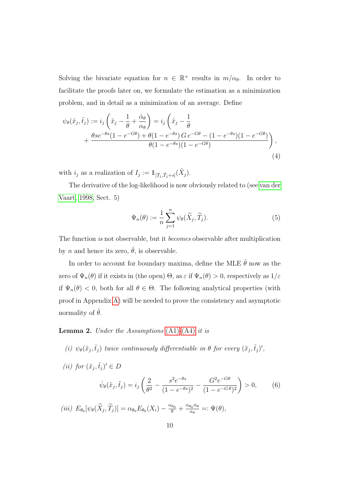Solving the bivariate equation for  $n \in \mathbb{R}^+$  results in  $m/\alpha_{\theta}$ . In order to facilitate the proofs later on, we formulate the estimation as a minimization problem, and in detail as a minimization of an average. Define

<span id="page-9-0"></span>
$$
\psi_{\theta}(\tilde{x}_j, \tilde{t}_j) := i_j \left( \tilde{x}_j - \frac{1}{\theta} + \frac{\dot{\alpha}_{\theta}}{\alpha_{\theta}} \right) = i_j \left( \tilde{x}_j - \frac{1}{\theta} + \frac{\theta s e^{-\theta s} (1 - e^{-G\theta}) + \theta (1 - e^{-\theta s}) G e^{-G\theta} - (1 - e^{-\theta s}) (1 - e^{-G\theta})}{\theta (1 - e^{-\theta s}) (1 - e^{-G\theta})} \right),
$$
\n(4)

with  $i_j$  as a realization of  $I_j := 1_{[\tilde{T}_j, \tilde{T}_j + s]}(\tilde{X}_j)$ .

The derivative of the log-likelihood is now obviously related to (see [van der](#page-26-5) [Vaart, 1998,](#page-26-5) Sect. 5)

<span id="page-9-3"></span>
$$
\Psi_n(\theta) := \frac{1}{n} \sum_{j=1}^n \psi_\theta(\widetilde{X}_j, \widetilde{T}_j).
$$
\n(5)

The function is not observable, but it becomes observable after multiplication by *n* and hence its zero,  $\hat{\theta}$ , is observable.

In order to account for boundary maxima, define the MLE  $\hat{\theta}$  now as the zero of  $\Psi_n(\theta)$  if it exists in (the open)  $\Theta$ , as  $\varepsilon$  if  $\Psi_n(\theta) > 0$ , respectively as  $1/\varepsilon$ if  $\Psi_n(\theta) < 0$ , both for all  $\theta \in \Theta$ . The following analytical properties (with proof in Appendix [A\)](#page-27-2) will be needed to prove the consistency and asymptotic normality of  $\hat{\theta}$ .

#### <span id="page-9-1"></span>**Lemma 2.** Under the Assumptions  $(A1)$ - $(A4)$  it is

- (i)  $\psi_{\theta}(\tilde{x}_j, \tilde{t}_j)$  twice continuously differentiable in  $\theta$  for every  $(\tilde{x}_j, \tilde{t}_j)'$ ,
- (*ii*) for  $(\tilde{x}_j, \tilde{t}_j)' \in D$

<span id="page-9-2"></span>
$$
\dot{\psi}_{\theta}(\tilde{x}_j, \tilde{t}_j) = i_j \left( \frac{2}{\theta^2} - \frac{s^2 e^{-\theta s}}{(1 - e^{-\theta s})^2} - \frac{G^2 e^{-G\theta}}{(1 - e^{-G\theta})^2} \right) > 0, \quad (6)
$$

(iii)  $E_{\theta_0}[\psi_\theta(\tilde{X}_j, \tilde{T}_j)] = \alpha_{\theta_0} E_{\theta_0}(X_i) - \frac{\alpha_{\theta_0}}{\theta} + \frac{\alpha_{\theta_0} \dot{\alpha}_{\theta}}{\alpha_{\theta}}$  $\frac{\partial \theta_0}{\partial \alpha_\theta} =: \Psi(\theta),$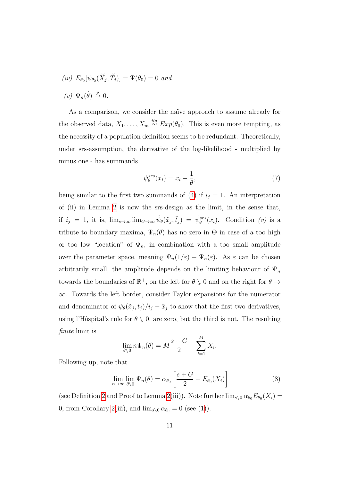$(iv) E_{\theta_0}[\psi_{\theta_0}(X_j, T_j)] = \Psi(\theta_0) = 0$  and (*v*)  $\Psi_n(\hat{\theta}) \stackrel{p}{\rightarrow} 0.$ 

As a comparison, we consider the naïve approach to assume already for the observed data,  $X_1, \ldots, X_m \stackrel{iid}{\sim} Exp(\theta_0)$ . This is even more tempting, as the necessity of a population definition seems to be redundant. Theoretically, under srs-assumption, the derivative of the log-likelihood - multiplied by minus one - has summands

<span id="page-10-1"></span>
$$
\psi_{\theta}^{srs}(x_i) = x_i - \frac{1}{\theta},\tag{7}
$$

being similar to the first two summands of [\(4\)](#page-9-0) if  $i_j = 1$ . An interpretation of (ii) in Lemma [2](#page-9-1) is now the srs-design as the limit, in the sense that, if  $i_j = 1$ , it is,  $\lim_{s\to\infty} \lim_{G\to\infty} \psi_\theta(\tilde{x}_j, \tilde{t}_j) = \psi_\theta^{srs}(x_i)$ . Condition (v) is a tribute to boundary maxima,  $\Psi_n(\theta)$  has no zero in  $\Theta$  in case of a too high or too low "location" of  $\Psi_n$ , in combination with a too small amplitude over the parameter space, meaning  $\Psi_n(1/\varepsilon) - \Psi_n(\varepsilon)$ . As  $\varepsilon$  can be chosen arbitrarily small, the amplitude depends on the limiting behaviour of  $\Psi_n$ towards the boundaries of  $\mathbb{R}^+$ , on the left for  $\theta \setminus 0$  and on the right for  $\theta \to$ ∞. Towards the left border, consider Taylor expansions for the numerator and denominator of  $\psi_{\theta}(\tilde{x}_j, \tilde{t}_j)/i_j - \tilde{x}_j$  to show that the first two derivatives, using l'Hôspital's rule for  $\theta \setminus 0$ , are zero, but the third is not. The resulting finite limit is

$$
\lim_{\theta \searrow 0} n \Psi_n(\theta) = M \frac{s+G}{2} - \sum_{i=1}^{M} X_i.
$$

Following up, note that

<span id="page-10-0"></span>
$$
\lim_{n \to \infty} \lim_{\theta \downarrow 0} \Psi_n(\theta) = \alpha_{\theta_0} \left[ \frac{s + G}{2} - E_{\theta_0}(X_i) \right]
$$
 (8)

(see Definition [2](#page-15-0) and Proof to Lemma [2\(](#page-9-1)iii)). Note further  $\lim_{s\to 0} \alpha_{\theta_0} E_{\theta_0}(X_i) =$ 0, from Corollary [2\(](#page-6-1)iii), and  $\lim_{s\setminus 0} \alpha_{\theta_0} = 0$  (see [\(1\)](#page-5-0)).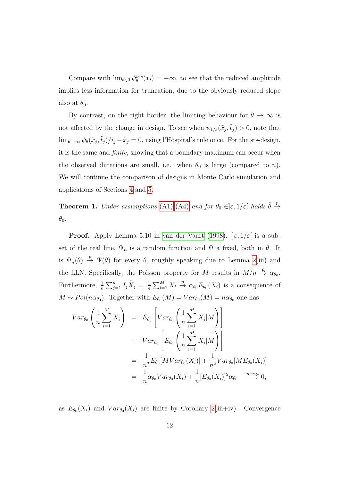Compare with  $\lim_{\theta \downarrow 0} \psi_{\theta}^{srs}(x_i) = -\infty$ , to see that the reduced amplitude implies less information for truncation, due to the obviously reduced slope also at  $\theta_0$ .

By contrast, on the right border, the limiting behaviour for  $\theta \to \infty$  is not affected by the change in design. To see when  $\psi_{1/\varepsilon}(\tilde{x}_j, \tilde{t}_j) > 0$ , note that  $\lim_{\theta\to\infty}\psi_{\theta}(\tilde{x}_j,\tilde{t}_j)/i_j-\tilde{x}_j=0$ , using l'Hôspital's rule once. For the srs-design, it is the same and finite, showing that a boundary maximum can occur when the observed durations are small, i.e. when  $\theta_0$  is large (compared to *n*). We will continue the comparison of designs in Monte Carlo simulation and applications of Sections [4](#page-18-0) and [5.](#page-21-0)

<span id="page-11-0"></span>**Theorem 1.** Under assumptions [\(A1\)](#page-4-1)-[\(A4\)](#page-4-0) and for  $\theta_0 \in ]\varepsilon, 1/\varepsilon[$  holds  $\hat{\theta} \stackrel{p}{\to}$  $\theta_0$ .

**Proof.** Apply Lemma 5.10 in [van der Vaart](#page-26-5) [\(1998\)](#page-26-5).  $\left|\varepsilon, 1/\varepsilon\right|$  is a subset of the real line,  $\Psi_n$  is a random function and  $\Psi$  a fixed, both in  $\theta$ . It is  $\Psi_n(\theta) \stackrel{p}{\rightarrow} \Psi(\theta)$  for every  $\theta$ , roughly speaking due to Lemma [2\(](#page-9-1)iii) and the LLN. Specifically, the Poisson property for M results in  $M/n \stackrel{p}{\rightarrow} \alpha_{\theta_0}$ . Furthermore,  $\frac{1}{n} \sum_{j=1}^{n} I_j \widetilde{X}_j = \frac{1}{n}$  $\frac{1}{n} \sum_{i=1}^{M} X_i \stackrel{p}{\to} \alpha_{\theta_0} E_{\theta_0}(X_i)$  is a consequence of  $M \sim Poi(n\alpha_{\theta_0})$ . Together with  $E_{\theta_0}(M) = Var_{\theta_0}(M) = n\alpha_{\theta_0}$  one has

$$
Var_{\theta_0} \left( \frac{1}{n} \sum_{i=1}^M X_i \right) = E_{\theta_0} \left[ Var_{\theta_0} \left( \frac{1}{n} \sum_{i=1}^M X_i | M \right) \right]
$$
  
+ 
$$
Var_{\theta_0} \left[ E_{\theta_0} \left( \frac{1}{n} \sum_{i=1}^M X_i | M \right) \right]
$$
  
= 
$$
\frac{1}{n^2} E_{\theta_0} [MVar_{\theta_0}(X_i)] + \frac{1}{n^2} Var_{\theta_0} [ME_{\theta_0}(X_i)]
$$
  
= 
$$
\frac{1}{n} \alpha_{\theta_0} Var_{\theta_0}(X_i) + \frac{1}{n} [E_{\theta_0}(X_i)]^2 \alpha_{\theta_0} \xrightarrow{n \to \infty} 0,
$$

as  $E_{\theta_0}(X_i)$  and  $Var_{\theta_0}(X_i)$  are finite by Corollary [2\(](#page-6-1)iii+iv). Convergence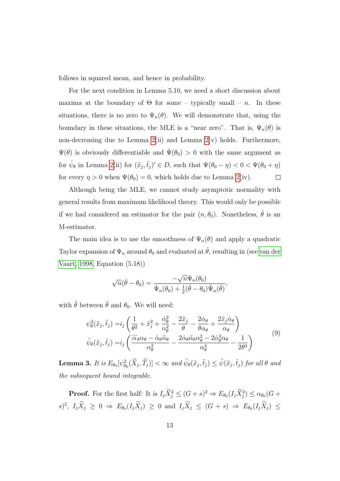follows in squared mean, and hence in probability.

For the next condition in Lemma 5.10, we need a short discussion about maxima at the boundary of  $\Theta$  for some – typically small – n. In these situations, there is no zero to  $\Psi_n(\theta)$ . We will demonstrate that, using the boundary in these situations, the MLE is a "near zero". That is,  $\Psi_n(\theta)$  is non-decreasing due to Lemma  $2(ii)$  and Lemma  $2(v)$  holds. Furthermore,  $\Psi(\theta)$  is obviously differentiable and  $\Psi(\theta_0) > 0$  with the same argument as for  $\dot{\psi}_{\theta}$  in Lemma [2\(](#page-9-1)ii) for  $(\tilde{x}_j, \tilde{t}_j)' \in D$ , such that  $\Psi(\theta_0 - \eta) < 0 < \Psi(\theta_0 + \eta)$ for every  $\eta > 0$  when  $\Psi(\theta_0) = 0$ , which holds due to Lemma [2\(](#page-9-1)iv).  $\Box$ 

Although being the MLE, we cannot study asymptotic normality with general results from maximum likelihood theory. This would only be possible if we had considered an estimator for the pair  $(n, \theta_0)$ . Nonetheless,  $\hat{\theta}$  is an M-estimator.

The main idea is to use the smoothness of  $\Psi_n(\theta)$  and apply a quadratic Taylor expansion of  $\Psi_n$  around  $\theta_0$  and evaluated at  $\hat{\theta}$ , resulting in (see [van der](#page-26-5) [Vaart, 1998,](#page-26-5) Equation (5.18))

$$
\sqrt{n}(\hat{\theta}-\theta_0)=\frac{-\sqrt{n}\Psi_n(\theta_0)}{\dot{\Psi}_n(\theta_0)+\frac{1}{2}(\hat{\theta}-\theta_0)\ddot{\Psi}_n(\tilde{\theta})},
$$

<span id="page-12-0"></span>with  $\tilde{\theta}$  between  $\hat{\theta}$  and  $\theta_0.$  We will need:

$$
\psi_{\theta}^{2}(\tilde{x}_{j},\tilde{t}_{j}) = i_{j} \left( \frac{1}{\theta^{2}} + \tilde{x}_{j}^{2} + \frac{\dot{\alpha}_{\theta}^{2}}{\alpha_{\theta}^{2}} - \frac{2\tilde{x}_{j}}{\theta} - \frac{2\dot{\alpha}_{\theta}}{\theta\alpha_{\theta}} + \frac{2\tilde{x}_{j}\dot{\alpha}_{\theta}}{\alpha_{\theta}} \right)
$$
\n
$$
\ddot{\psi}_{\theta}(\tilde{x}_{j},\tilde{t}_{j}) = i_{j} \left( \frac{\dddot{\alpha}_{\theta}\alpha_{\theta} - \dot{\alpha}_{\theta}\ddot{\alpha}_{\theta}}{\alpha_{\theta}^{2}} - \frac{2\dot{\alpha}_{\theta}\ddot{\alpha}_{\theta}\alpha_{\theta}^{2} - 2\dot{\alpha}_{\theta}^{3}\alpha_{\theta}}{\alpha_{\theta}^{4}} - \frac{1}{2\theta^{3}} \right)
$$
\n(9)

<span id="page-12-1"></span>**Lemma 3.** It is  $E_{\theta_0}[\psi_{\theta_0}^2(\widetilde{X}_j, \widetilde{T}_j)] < \infty$  and  $\ddot{\psi}_{\theta}(\tilde{x}_j, \tilde{t}_j) \leq \ddot{\psi}(\tilde{x}_j, \tilde{t}_j)$  for all  $\theta$  and the subsequent bound integrable.

**Proof.** For the first half: It is  $I_j \overline{X}_j^2 \leq (G + s)^2 \Rightarrow E_{\theta_0}(I_j \overline{X}_j^2) \leq \alpha_{\theta_0}(G + s)$  $(s)^2$ ,  $I_j \tilde{X}_j \geq 0 \Rightarrow E_{\theta_0}(I_j \tilde{X}_j) \geq 0$  and  $I_j \tilde{X}_j \leq (G + s) \Rightarrow E_{\theta_0}(I_j \tilde{X}_j) \leq$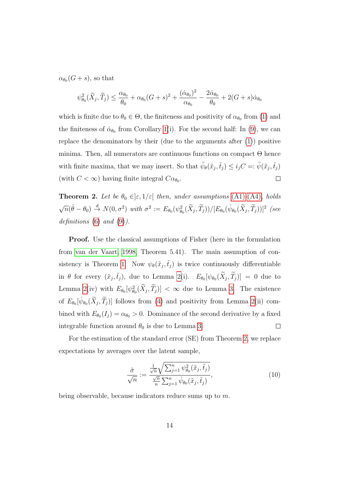$\alpha_{\theta_0}(G + s)$ , so that

$$
\psi_{\theta_0}^2(\widetilde{X}_j, \widetilde{T}_j) \le \frac{\alpha_{\theta_0}}{\theta_0} + \alpha_{\theta_0} (G+s)^2 + \frac{(\dot{\alpha}_{\theta_0})^2}{\alpha_{\theta_0}} - \frac{2\dot{\alpha}_{\theta_0}}{\theta_0} + 2(G+s)\dot{\alpha}_{\theta_0}
$$

which is finite due to  $\theta_0 \in \Theta$ , the finiteness and positivity of  $\alpha_{\theta_0}$  from [\(1\)](#page-5-0) and the finiteness of  $\dot{\alpha}_{\theta_0}$  from Corollary [1\(](#page-5-1)i). For the second half: In [\(9\)](#page-12-0), we can replace the denominators by their (due to the arguments after [\(1\)](#page-5-0)) positive minima. Then, all numerators are continuous functions on compact Θ hence with finite maxima, that we may insert. So that  $\ddot{\psi}_{\theta}(\tilde{x}_j, \tilde{t}_j) \leq i_j C =: \ddot{\psi}(\tilde{x}_j, \tilde{t}_j)$  $\Box$ (with  $C < \infty$ ) having finite integral  $C\alpha_{\theta_0}$ .

<span id="page-13-0"></span>**Theorem 2.** Let be  $\theta_0 \in ]\varepsilon, 1/\varepsilon[$  then, under assumptions [\(A1\)](#page-4-1)-[\(A4\)](#page-4-0), holds √  $\overline{n}(\hat{\theta}-\theta_0) \stackrel{d}{\rightarrow} N(0,\sigma^2)$  with  $\sigma^2 := E_{\theta_0}(\psi_{\theta_0}^2(\widetilde{X}_j,\widetilde{T}_j))/[E_{\theta_0}(\dot{\psi}_{\theta_0}(\widetilde{X}_j,\widetilde{T}_j))]^2$  (see definitions  $(6)$  and  $(9)$ ).

Proof. Use the classical assumptions of Fisher (here in the formulation from [van der Vaart, 1998,](#page-26-5) Theorem 5.41). The main assumption of con-sistency is Theorem [1.](#page-11-0) Now  $\psi_{\theta}(\tilde{x}_j, \tilde{t}_j)$  is twice continuously differentiable in  $\theta$  for every  $(\tilde{x}_j, \tilde{t}_j)$ , due to Lemma [2\(](#page-9-1)i).  $E_{\theta_0}[\psi_{\theta_0}(\tilde{X}_j, \tilde{T}_j)] = 0$  due to Lemma [2\(](#page-9-1)iv) with  $E_{\theta_0}[\psi_{\theta_0}^2(\bar{X}_j, T_j)] < \infty$  due to Lemma [3.](#page-12-1) The existence of  $E_{\theta_0}[\psi_{\theta_0}(\tilde{X}_j, \tilde{T}_j)]$  follows from [\(4\)](#page-9-0) and positivity from Lemma [2\(](#page-9-1)ii) combined with  $E_{\theta_0}(I_j) = \alpha_{\theta_0} > 0$ . Dominance of the second derivative by a fixed integrable function around  $\theta_0$  is due to Lemma [3.](#page-12-1)  $\Box$ 

For the estimation of the standard error (SE) from Theorem [2,](#page-13-0) we replace expectations by averages over the latent sample,

<span id="page-13-1"></span>
$$
\frac{\hat{\sigma}}{\sqrt{n}} := \frac{\frac{1}{\sqrt{n}} \sqrt{\sum_{j=1}^{n} \psi_{\theta_0}^2(\tilde{x}_j, \tilde{t}_j)}}{\frac{\sqrt{n}}{n} \sum_{j=1}^{n} \psi_{\theta_0}(\tilde{x}_j, \tilde{t}_j)},
$$
\n(10)

being observable, because indicators reduce sums up to m.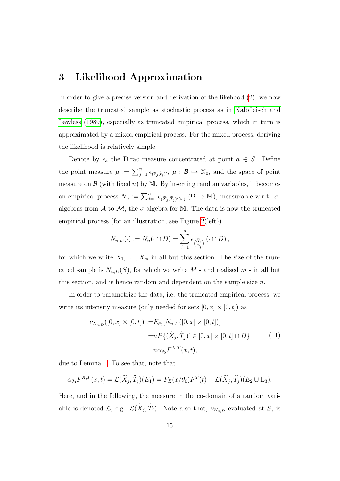# <span id="page-14-0"></span>3 Likelihood Approximation

In order to give a precise version and derivation of the likehood [\(2\)](#page-8-0), we now describe the truncated sample as stochastic process as in [Kalbfleisch and](#page-26-6) [Lawless](#page-26-6) [\(1989\)](#page-26-6), especially as truncated empirical process, which in turn is approximated by a mixed empirical process. For the mixed process, deriving the likelihood is relatively simple.

Denote by  $\epsilon_a$  the Dirac measure concentrated at point  $a \in S$ . Define the point measure  $\mu := \sum_{j=1}^n \epsilon_{(\tilde{x}_j, \tilde{t}_j)'}, \mu : \mathcal{B} \mapsto \bar{\mathbb{N}}_0$ , and the space of point measure on  $\mathcal{B}$  (with fixed n) by M. By inserting random variables, it becomes an empirical process  $N_n := \sum_{j=1}^n \epsilon_{(\tilde{X}_j, \tilde{T}_j)'(\omega)}$   $(\Omega \mapsto M)$ , measurable w.r.t.  $\sigma$ algebras from  $A$  to  $M$ , the  $\sigma$ -algebra for M. The data is now the truncated empirical process (for an illustration, see Figure [2\(](#page-15-1)left))

$$
N_{n,D}(\cdot) := N_n(\cdot \cap D) = \sum_{j=1}^n \epsilon_{\left(\begin{matrix} \tilde{x}_j \\ \tilde{\tau}_j \end{matrix}\right)} (\cdot \cap D),
$$

for which we write  $X_1, \ldots, X_m$  in all but this section. The size of the truncated sample is  $N_{n,D}(S)$ , for which we write M - and realised m - in all but this section, and is hence random and dependent on the sample size  $n$ .

In order to parametrize the data, i.e. the truncated empirical process, we write its intensity measure (only needed for sets  $[0, x] \times [0, t]$ ) as

<span id="page-14-1"></span>
$$
\nu_{N_{n,D}}([0, x] \times [0, t]) := E_{\theta_0}[N_{n,D}([0, x] \times [0, t])]
$$
  
= 
$$
n P\{(\tilde{X}_j, \tilde{T}_j)' \in [0, x] \times [0, t] \cap D\}
$$
  
= 
$$
n \alpha_{\theta_0} F^{X,T}(x, t),
$$
 (11)

due to Lemma [1.](#page-6-0) To see that, note that

$$
\alpha_{\theta_0} F^{X,T}(x,t) = \mathcal{L}(\widetilde{X}_j, \widetilde{T}_j)(E_1) = F_E(x/\theta_0) F^{\widetilde{T}}(t) - \mathcal{L}(\widetilde{X}_j, \widetilde{T}_j)(E_2 \cup E_3).
$$

Here, and in the following, the measure in the co-domain of a random variable is denoted  $\mathcal{L}$ , e.g.  $\mathcal{L}(X_j, T_j)$ . Note also that,  $\nu_{N_{n,D}}$  evaluated at S, is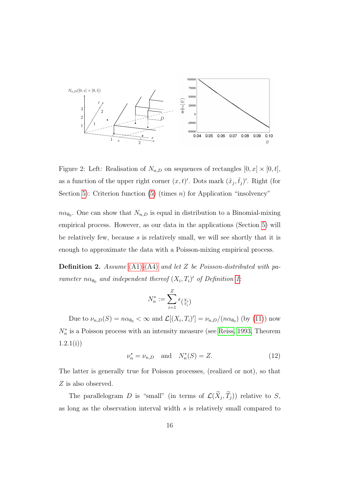

<span id="page-15-1"></span>Figure 2: Left: Realisation of  $N_{n,D}$  on sequences of rectangles  $[0, x] \times [0, t]$ , as a function of the upper right corner  $(x, t)'$ . Dots mark  $(\tilde{x}_j, \tilde{t}_j)'$ . Right (for Section [5\)](#page-21-0): Criterion function [\(5\)](#page-9-3) (times *n*) for Application "insolvency"

 $n\alpha_{\theta_0}$ . One can show that  $N_{n,D}$  is equal in distribution to a Binomial-mixing empirical process. However, as our data in the applications (Section [5\)](#page-21-0) will be relatively few, because s is relatively small, we will see shortly that it is enough to approximate the data with a Poisson-mixing empirical process.

<span id="page-15-0"></span>**Definition 2.** Assume  $(A1)$ - $(A4)$  and let Z be Poisson-distributed with parameter  $n\alpha_{\theta_0}$  and independent thereof  $(X_i, T_i)'$  of Definition [1:](#page-6-2)

$$
N_n^* := \sum_{i=1}^Z \epsilon_{X_i^i}
$$

Due to  $\nu_{n,D}(S) = n\alpha_{\theta_0} < \infty$  and  $\mathcal{L}[(X_i,T_i)'] = \nu_{n,D}/(n\alpha_{\theta_0})$  (by [\(11\)](#page-14-1)) now  $N_n^*$  is a Poisson process with an intensity measure (see [Reiss, 1993,](#page-26-4) Theorem  $1.2.1(i)$ 

<span id="page-15-2"></span>
$$
\nu_n^* = \nu_{n,D} \text{ and } N_n^*(S) = Z. \tag{12}
$$

The latter is generally true for Poisson processes, (realized or not), so that Z is also observed.

The parallelogram D is "small" (in terms of  $\mathcal{L}(X_j,T_j)$ ) relative to S, as long as the observation interval width s is relatively small compared to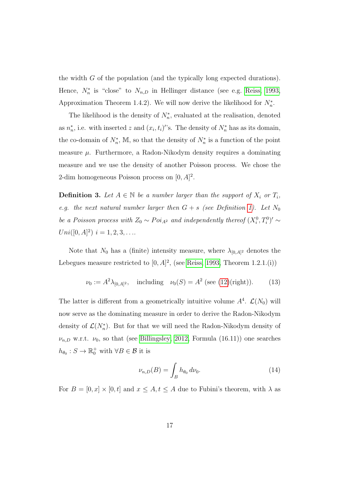the width G of the population (and the typically long expected durations). Hence,  $N_n^*$  is "close" to  $N_{n,D}$  in Hellinger distance (see e.g. [Reiss, 1993,](#page-26-4) Approximation Theorem 1.4.2). We will now derive the likelihood for  $N_n^*$ .

The likelihood is the density of  $N_n^*$ , evaluated at the realisation, denoted as  $n_n^*$ , i.e. with inserted z and  $(x_i, t_i)$ ''s. The density of  $N_n^*$  has as its domain, the co-domain of  $N_n^*$ , M, so that the density of  $N_n^*$  is a function of the point measure  $\mu$ . Furthermore, a Radon-Nikodym density requires a dominating measure and we use the density of another Poisson process. We chose the 2-dim homogeneous Poisson process on  $[0, A]^2$ .

<span id="page-16-0"></span>**Definition 3.** Let  $A \in \mathbb{N}$  be a number larger than the support of  $X_i$  or  $T_i$ , e.g. the next natural number larger then  $G + s$  (see Definition [1\)](#page-6-2). Let  $N_0$ be a Poisson process with  $Z_0 \sim Poi_{A^2}$  and independently thereof  $(X_i^0, T_i^0)' \sim$  $Uni([0, A]^2) \, i = 1, 2, 3, \ldots$ 

Note that  $N_0$  has a (finite) intensity measure, where  $\lambda_{[0,A]^2}$  denotes the Lebegues measure restricted to  $[0, A]^2$ , (see [Reiss, 1993,](#page-26-4) Theorem 1.2.1.(i))

<span id="page-16-1"></span>
$$
\nu_0 := A^2 \lambda_{[0,A]^2}
$$
, including  $\nu_0(S) = A^2$  (see (12)(right)). (13)

The latter is different from a geometrically intuitive volume  $A<sup>4</sup>$ .  $\mathcal{L}(N_0)$  will now serve as the dominating measure in order to derive the Radon-Nikodym density of  $\mathcal{L}(N_n^*)$ . But for that we will need the Radon-Nikodym density of  $\nu_{n,D}$  w.r.t.  $\nu_0$ , so that (see [Billingsley, 2012,](#page-25-6) Formula (16.11)) one searches  $h_{\theta_0}: S \to \mathbb{R}_0^+$  with  $\forall B \in \mathcal{B}$  it is

<span id="page-16-2"></span>
$$
\nu_{n,D}(B) = \int_B h_{\theta_0} \, d\nu_0. \tag{14}
$$

For  $B = [0, x] \times [0, t]$  and  $x \le A, t \le A$  due to Fubini's theorem, with  $\lambda$  as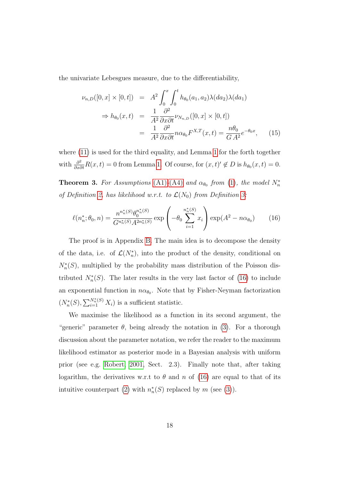the univariate Lebesgues measure, due to the differentiability,

<span id="page-17-2"></span>
$$
\nu_{n,D}([0,x] \times [0,t]) = A^2 \int_0^x \int_0^t h_{\theta_0}(a_1, a_2) \lambda(da_2) \lambda(da_1)
$$
  
\n
$$
\Rightarrow h_{\theta_0}(x,t) = \frac{1}{A^2} \frac{\partial^2}{\partial x \partial t} \nu_{N_{n,D}}([0,x] \times [0,t])
$$
  
\n
$$
= \frac{1}{A^2} \frac{\partial^2}{\partial x \partial t} n \alpha_{\theta_0} F^{X,T}(x,t) = \frac{n\theta_0}{G A^2} e^{-\theta_0 x}, \quad (15)
$$

where [\(11\)](#page-14-1) is used for the third equality, and Lemma [1](#page-6-0) for the forth together with  $\frac{\partial^2}{\partial x \partial t} R(x,t) = 0$  from Lemma [1.](#page-6-0) Of course, for  $(x, t)' \notin D$  is  $h_{\theta_0}(x, t) = 0$ .

<span id="page-17-0"></span>**Theorem 3.** For Assumptions [\(A1\)](#page-4-1)-[\(A4\)](#page-4-0) and  $\alpha_{\theta_0}$  from [\(1\)](#page-5-0), the model  $N_n^*$ of Definition [2,](#page-15-0) has likelihood w.r.t. to  $\mathcal{L}(N_0)$  from Definition [3:](#page-16-0)

<span id="page-17-1"></span>
$$
\ell(n_n^*; \theta_0, n) = \frac{n^{n_n^*(S)} \theta_0^{n_n^*(S)}}{G^{n_n^*(S)} A^{2n_n^*(S)}} \exp\left(-\theta_0 \sum_{i=1}^{n_n^*(S)} x_i\right) \exp(A^2 - n\alpha_{\theta_0}) \tag{16}
$$

The proof is in Appendix [B.](#page-30-0) The main idea is to decompose the density of the data, i.e. of  $\mathcal{L}(N_n^*)$ , into the product of the density, conditional on  $N_n^*(S)$ , multiplied by the probability mass distribution of the Poisson distributed  $N_n^*(S)$ . The later results in the very last factor of [\(16\)](#page-17-1) to include an exponential function in  $n\alpha_{\theta_0}$ . Note that by Fisher-Neyman factorization  $(N_n^*(S), \sum_{i=1}^{N_n^*(S)} X_i)$  is a sufficient statistic.

We maximise the likelihood as a function in its second argument, the "generic" parameter  $\theta$ , being already the notation in [\(3\)](#page-8-1). For a thorough discussion about the parameter notation, we refer the reader to the maximum likelihood estimator as posterior mode in a Bayesian analysis with uniform prior (see e.g. [Robert, 2001,](#page-26-7) Sect. 2.3). Finally note that, after taking logarithm, the derivatives w.r.t to  $\theta$  and n of [\(16\)](#page-17-1) are equal to that of its intuitive counterpart [\(2\)](#page-8-0) with  $n_n^*(S)$  replaced by m (see [\(3\)](#page-8-1)).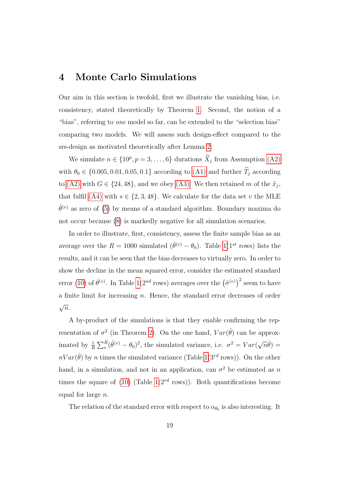#### <span id="page-18-0"></span>4 Monte Carlo Simulations

Our aim in this section is twofold, first we illustrate the vanishing bias, i.e. consistency, stated theoretically by Theorem [1.](#page-11-0) Second, the notion of a "bias", referring to one model so far, can be extended to the "selection bias" comparing two models. We will assess such design-effect compared to the srs-design as motivated theoretically after Lemma [2.](#page-9-1)

We simulate  $n \in \{10^p, p = 3, ..., 6\}$  durations  $\tilde{X}_j$  from Assumption [\(A2\)](#page-4-3) with  $\theta_0 \in \{0.005, 0.01, 0.05, 0.1\}$  according to [\(A1\)](#page-4-1) and further  $\widetilde{T}_j$  according to [\(A2\)](#page-4-3) with  $G \in \{24, 48\}$ , and we obey [\(A3\).](#page-4-2) We then retained m of the  $\tilde{x}_j$ , that fulfil [\(A4\)](#page-4-0) with  $s \in \{2, 3, 48\}$ . We calculate for the data set v the MLE  $\hat{\theta}^{(v)}$  as zero of [\(5\)](#page-9-3) by means of a standard algorithm. Boundary maxima do not occur because [\(8\)](#page-10-0) is markedly negative for all simulation scenarios.

In order to illustrate, first, consistency, assess the finite sample bias as an average over the  $R = 1000$  simulated  $(\hat{\theta}^{(v)} - \theta_0)$ . Table [1\(](#page-19-0)1<sup>st</sup> rows) lists the results, and it can be seen that the bias decreases to virtually zero. In order to show the decline in the mean squared error, consider the estimated standard error [\(10\)](#page-13-1) of  $\hat{\theta}^{(v)}$ . In Table [1\(](#page-19-0)2<sup>nd</sup> rows) averages over the  $(\hat{\sigma}^{(v)})^2$  seem to have a finite limit for increasing  $n$ . Hence, the standard error decreases of order √  $\overline{n}$ .

A by-product of the simulations is that they enable confirming the representation of  $\sigma^2$  (in Theorem [2\)](#page-13-0). On the one hand,  $Var(\hat{\theta})$  can be approximated by  $\frac{1}{R} \sum_{v}^{R} (\hat{\theta}^{(v)} - \theta_0)^2$ , the simulated variance, i.e.  $\sigma^2 = Var(\sqrt{n}\hat{\theta}) =$  $nVar(\hat{\theta})$  by n times the simulated variance (Table [1\(](#page-19-0)3<sup>rd</sup> rows)). On the other hand, in a simulation, and not in an application, can  $\sigma^2$  be estimated as n times the square of [\(10\)](#page-13-1) (Table  $1(2^{rd}$  rows)). Both quantifications become equal for large  $n$ .

The relation of the standard error with respect to  $\alpha_{\theta_0}$  is also interesting. It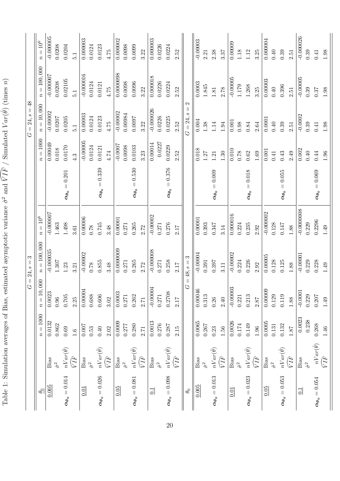Table 1: Simulation averages of Bias, estimated asymptotic variance  $\hat{\sigma}^2$  $^{2}$  and  $\sqrt{F}$  $VIF /$  Simulated  $Var(G)$  $\hat{\theta}$ ) (times  $\widetilde{c}$ 

<span id="page-19-0"></span>

|                           |                                   |                 | $\mathcal{C}$  | $= 24, s = 3$        |                      |                                                 |                  | $= 24, s = 48$<br>Ù                                            |                       |                       |
|---------------------------|-----------------------------------|-----------------|----------------|----------------------|----------------------|-------------------------------------------------|------------------|----------------------------------------------------------------|-----------------------|-----------------------|
| $\theta_0$                |                                   | $n = 1000$      | $n=10,000$     | $n = 100,000$        | $n = 10^6$           |                                                 | $n=1000$         | $n = 10,000$                                                   | $n = 100,000$         | $n=10^6$              |
| 0.005                     | Bias                              | 0.0132<br>0.862 | 0.0023<br>0.96 | $-0.000035$<br>1.307 | $-0.000007$<br>1.463 |                                                 | 0.00049<br>0.018 | $-0.00002$<br>0.0207                                           | $-0.000007$<br>0.0208 | $-0.000005$<br>0.0208 |
| $\alpha_{\theta_0}=0.014$ | $nVar(\hat{\theta})$              | 0.69            | 0.705          | 1.23                 | 1.498                | $\alpha_{\theta_0}=0.201$                       | 0.0170           | 0.0205                                                         | 0.02105               | 0.0204                |
|                           | $\widetilde{V} \widetilde{I^F}$   | 1.6             | 2.25           | 3.21                 | 3.61                 |                                                 | 4.3              | $\overline{5}.1$                                               | 5.1                   | $\overline{5}$ .      |
| 0.01                      | Bias                              | 0.007           | 0.00004        | $-0.00002$           | 0.00006              |                                                 | $-0.00005$       | 0.00003                                                        | $-0.000016$           | 0.000003              |
|                           | $\hat{\sigma}^2$                  | $\rm 0.53$      | 0.688          | 0.78                 | 0.78                 |                                                 | 0.0124           | 0.0124                                                         | 0.0124                | 0.0124                |
| $\alpha_{\theta_0}=0.026$ | $nVar(\hat{\theta})$              | $0.40\,$        | 0.606          | 0.855                | 0.745                | $\alpha_{\theta_0}=0.339$                       | 0.0121           | 0.0123                                                         | 0.0121                | 0.0123                |
|                           | $\bar V I \bar F$                 | 2.02            | 3.02           | 3.48                 | 3.48                 |                                                 | 4.74             | 4.75                                                           | $4.75$                | 4.75                  |
| 0.05                      | Bias                              | 0.0009          | 0.0003         | 0.0000009            | 0.00001              |                                                 | $-0.0007$        | $-0.00002$                                                     | 0.0000098             | 0.000002              |
|                           | $\hat{\sigma}^2$                  | 0.277           | 0.271          | 0.271                | 0.271                |                                                 | 0.0098           | 0.00984                                                        | 0.0098                | 0.0098                |
| $\alpha_{\theta_0}=0.081$ | $nVar(\hat{\theta})$              | 0.280           | 0.262          | 0.265                | 0.265                | $= 0.530$<br>$\alpha_{\boldsymbol{\theta_0}}$ = | 0.0103           | 1600.0                                                         | 0.0096                | 0.0099                |
|                           | $\sqrt{\overline{I}}$             | 2.71            | 2.71           | 2.72                 | 2.72                 |                                                 | 3.23             | 3.22                                                           | 3.22                  | 3.22                  |
| 0.1                       | Bias                              | 0.0013          | $-0.00004$     | $-0.000008$          | $-0.00002$           |                                                 | 0.00014          | $-0.000026$                                                    | 0.000018              | 0.000003              |
|                           | $\hat{\sigma}^2$                  | 0.276           | 0.271          | 0.271                | 0.271                |                                                 | 0.0227           | 0.0226                                                         | 0.0226                | 0.0226                |
| $\alpha_{\theta_0}=0.098$ | $nVar(\hat{\theta})$              | 0.287           | 0.2708         | 0.258                | 0.276                | $= 0.376$<br>$\alpha_{\theta_0}$                | 0.0229           | 0.0225                                                         | 0.0224                | 0.0224                |
|                           | $\sqrt{\overline{I}}$             | 2.15            | 2.17           | $2.17$               | 2.17                 |                                                 | 2.52             | 2.52                                                           | 2.52                  | 2.52                  |
| $\theta_0$                |                                   |                 | $\vert\vert$   | $48, s = 3$          |                      |                                                 |                  | $\mathbf{\Omega}$<br>$\parallel$<br>$\mathcal{S}$<br>$G = 24,$ |                       |                       |
| 0.005                     | Bias                              | 0.0065          | 0.00046        | $-0.00004$           | 0.00001              |                                                 | $0.018\,$        | 0.004                                                          | 0.0003                | $-0.00003$            |
|                           | $\hat{\sigma}^2$                  | 0.267           | $\!0.313$      | 0.391                | 0.393                |                                                 | 1.27             | $1.38\,$                                                       | $1.845\,$             | 2.21                  |
| $\alpha_{\theta_0}=0.013$ | $nVar(\hat{\theta})$              | 0.23            | 0.26           | 0.397                | 0.347                | $\alpha_{\theta_0}=0.009$                       | 1.21             | $1.14\,$                                                       | $1.81\,$              | 2.38                  |
|                           | $\sqrt{\overline{F}}$             | 1.56            | 2.40           | 3.11                 | 3.14                 |                                                 | 1.30             | $1.94\,$                                                       | 2.78                  | 3.37                  |
| 0.01                      | Bias                              | 0.0026          | $-0.00003$     | $-0.00002$           | 0.000016             |                                                 | 0.010            | 0.001                                                          | $-0.00005$            | 0.00009               |
|                           | $\hat{\sigma}^2$                  | $0.174\,$       | 0.221          | 0.224                | 0.224                |                                                 | 0.78             | 0.98                                                           | 1.179                 | 1.18                  |
| $\alpha_{\theta_0}=0.023$ | $nVar(\hat{\theta})$              | 0.149           | 0.213          | 0.226                | 0.235                | $= 0.018$<br>$\alpha_{\theta_0}$                | $\,0.62$         | $0.84\,$                                                       | 1.268                 | 1.12                  |
|                           | $\sqrt{\overline{I}}\overline{F}$ | $1.96\,$        | $2.87$         | 2.92                 | 2.92                 |                                                 | 1.69             | $\!2.64$                                                       | 3.25                  | 3.25                  |
| 0.05                      | Bias                              | 0.0005          | 0.00009        | 0.00005              | $-0.000002$          |                                                 | 0.001            | 0.0001                                                         | 0.00003               | 0.000004              |
|                           |                                   | $\!0.131$       | 0.129          | 0.128                | 0.128                |                                                 | 0.41             | 0.40                                                           | $0.40\,$              | 0.40                  |
| $\alpha_{\theta_0}=0.053$ | $\frac{nVar(\hat{\theta})}{VIF}$  | 0.132           | 0.119          | 0.125                | 0.147                | $\alpha_{\theta_0}=0.055$                       | 0.43             | 0.39                                                           | 0.396                 | 0.39                  |
|                           |                                   | $1.87$          | 1.88           | 1.88                 | $1.88$               |                                                 | 2.49             | 2.51                                                           | 2.51                  | 2.51                  |
| $\frac{1}{2}$             | Bias                              | 0.0023          | $-0.0001$      | $-0.00001$           | $-0.0000008$         |                                                 | 0.002            | $-0.0002$                                                      | $-0.00005$            | $-0.000026$           |
|                           |                                   | 0.238           | 0.229          | 0.229                | 0.229                |                                                 | 0.40             | 0.39                                                           | 0.39                  | 0.39                  |
| $\alpha_{\theta_0}=0.054$ | $\frac{nVar(\hat{\theta})}{VIF}$  | 0.268           | 0.207          | 0.228                | 0.2296               | $\alpha_{\theta_0}=0.069$                       | 0.44             | 0.41                                                           | 0.37                  | 0.41                  |
|                           |                                   | 1.46            | 1.49           | 1.49                 | 1.49                 |                                                 | 1.96             | 1.98                                                           | 1.98                  | 1.98                  |
|                           |                                   |                 |                |                      |                      |                                                 |                  |                                                                |                       |                       |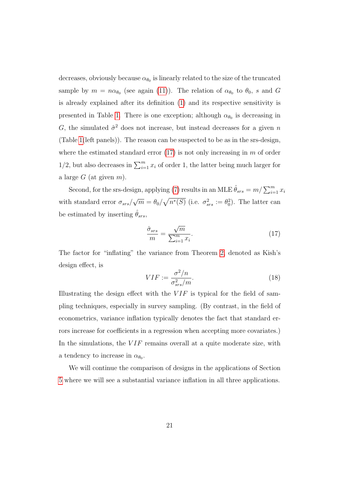decreases, obviously because  $\alpha_{\theta_0}$  is linearly related to the size of the truncated sample by  $m = n\alpha_{\theta_0}$  (see again [\(11\)](#page-14-1)). The relation of  $\alpha_{\theta_0}$  to  $\theta_0$ , s and G is already explained after its definition [\(1\)](#page-5-0) and its respective sensitivity is presented in Table [1.](#page-19-0) There is one exception; although  $\alpha_{\theta_0}$  is decreasing in G, the simulated  $\hat{\sigma}^2$  does not increase, but instead decreases for a given n (Table [1\(](#page-19-0)left panels)). The reason can be suspected to be as in the srs-design, where the estimated standard error  $(17)$  is not only increasing in m of order 1/2, but also decreases in  $\sum_{i=1}^{m} x_i$  of order 1, the latter being much larger for a large  $G$  (at given  $m$ ).

Second, for the srs-design, applying [\(7\)](#page-10-1) results in an MLE  $\hat{\theta}_{srs} = m/\sum_{i=1}^{m} x_i$ with standard error  $\sigma_{srs}/$ √  $\overline{m} = \theta_0 / \sqrt{n^*(S)}$  (i.e.  $\sigma_{srs}^2 := \theta_0^2$ ). The latter can be estimated by inserting  $\hat{\theta}_{srs}$ ,

<span id="page-20-0"></span>
$$
\frac{\hat{\sigma}_{srs}}{m} = \frac{\sqrt{m}}{\sum_{i=1}^{m} x_i}.
$$
\n(17)

The factor for "inflating" the variance from Theorem [2,](#page-13-0) denoted as Kish's design effect, is

<span id="page-20-1"></span>
$$
VIF := \frac{\sigma^2/n}{\sigma_{srs}^2/m}.\tag{18}
$$

Illustrating the design effect with the  $VIF$  is typical for the field of sampling techniques, especially in survey sampling. (By contrast, in the field of econometrics, variance inflation typically denotes the fact that standard errors increase for coefficients in a regression when accepting more covariates.) In the simulations, the  $VIF$  remains overall at a quite moderate size, with a tendency to increase in  $\alpha_{\theta_0}$ .

We will continue the comparison of designs in the applications of Section [5](#page-21-0) where we will see a substantial variance inflation in all three applications.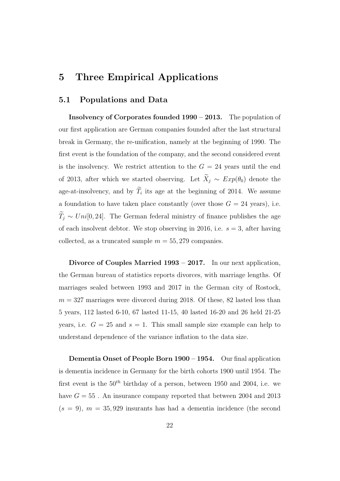## <span id="page-21-0"></span>5 Three Empirical Applications

#### 5.1 Populations and Data

Insolvency of Corporates founded 1990 – 2013. The population of our first application are German companies founded after the last structural break in Germany, the re-unification, namely at the beginning of 1990. The first event is the foundation of the company, and the second considered event is the insolvency. We restrict attention to the  $G = 24$  years until the end of 2013, after which we started observing. Let  $\widetilde{X}_j \sim Exp(\theta_0)$  denote the age-at-insolvency, and by  $T_i$  its age at the beginning of 2014. We assume a foundation to have taken place constantly (over those  $G = 24$  years), i.e.  $\widetilde{T}_j \sim Uni[0, 24]$ . The German federal ministry of finance publishes the age of each insolvent debtor. We stop observing in 2016, i.e.  $s = 3$ , after having collected, as a truncated sample  $m = 55,279$  companies.

Divorce of Couples Married 1993 – 2017. In our next application, the German bureau of statistics reports divorces, with marriage lengths. Of marriages sealed between 1993 and 2017 in the German city of Rostock,  $m = 327$  marriages were divorced during 2018. Of these, 82 lasted less than 5 years, 112 lasted 6-10, 67 lasted 11-15, 40 lasted 16-20 and 26 held 21-25 years, i.e.  $G = 25$  and  $s = 1$ . This small sample size example can help to understand dependence of the variance inflation to the data size.

Dementia Onset of People Born 1900 – 1954. Our final application is dementia incidence in Germany for the birth cohorts 1900 until 1954. The first event is the  $50<sup>th</sup>$  birthday of a person, between 1950 and 2004, i.e. we have  $G = 55$ . An insurance company reported that between 2004 and 2013  $(s = 9)$ ,  $m = 35,929$  insurants has had a dementia incidence (the second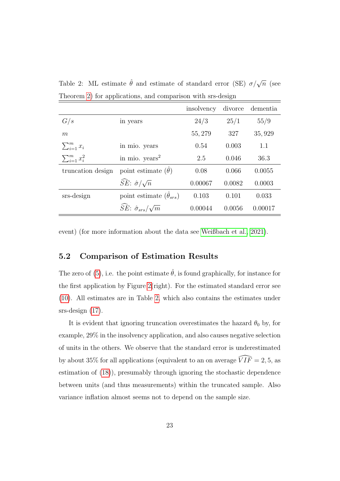<span id="page-22-0"></span>

|  |  | Table 2: ML estimate $\hat{\theta}$ and estimate of standard error (SE) $\sigma/\sqrt{n}$ (see |  |  |  |
|--|--|------------------------------------------------------------------------------------------------|--|--|--|
|  |  | Theorem 2) for applications, and comparison with srs-design                                    |  |  |  |

|                      |                                                 | insolvency | divorce | dementia |
|----------------------|-------------------------------------------------|------------|---------|----------|
| G/s                  | in years                                        | 24/3       | 25/1    | 55/9     |
| m                    |                                                 | 55, 279    | 327     | 35,929   |
| $\sum_{i=1}^m x_i$   | in mio. years                                   | 0.54       | 0.003   | 1.1      |
| $\sum_{i=1}^m x_i^2$ | in mio. $years2$                                | 2.5        | 0.046   | 36.3     |
| truncation design    | point estimate $(\theta)$                       | 0.08       | 0.066   | 0.0055   |
|                      | $\widehat{SE}$ : $\hat{\sigma}/\sqrt{n}$        | 0.00067    | 0.0082  | 0.0003   |
| srs-design           | point estimate $(\hat{\theta}_{srs})$           | 0.103      | 0.101   | 0.033    |
|                      | $\widehat{SE}: \widehat{\sigma}_{srs}/\sqrt{m}$ | 0.00044    | 0.0056  | 0.00017  |

event) (for more information about the data see [Weißbach et al., 2021\)](#page-27-3).

#### 5.2 Comparison of Estimation Results

The zero of [\(5\)](#page-9-3), i.e. the point estimate  $\hat{\theta}$ , is found graphically, for instance for the first application by Figure [2\(](#page-15-1)right). For the estimated standard error see [\(10\)](#page-13-1). All estimates are in Table [2,](#page-22-0) which also contains the estimates under srs-design  $(17)$ .

It is evident that ignoring truncation overestimates the hazard  $\theta_0$  by, for example, 29% in the insolvency application, and also causes negative selection of units in the others. We observe that the standard error is underestimated by about 35% for all applications (equivalent to an on average  $\widehat{VIF} = 2, 5$ , as estimation of [\(18\)](#page-20-1)), presumably through ignoring the stochastic dependence between units (and thus measurements) within the truncated sample. Also variance inflation almost seems not to depend on the sample size.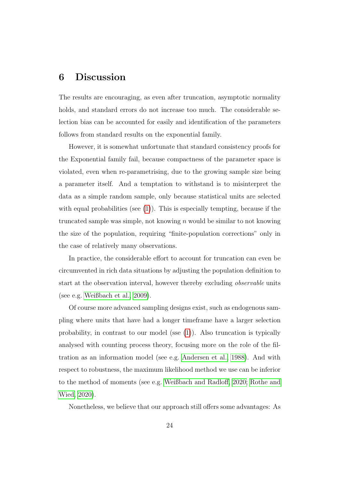# 6 Discussion

The results are encouraging, as even after truncation, asymptotic normality holds, and standard errors do not increase too much. The considerable selection bias can be accounted for easily and identification of the parameters follows from standard results on the exponential family.

However, it is somewhat unfortunate that standard consistency proofs for the Exponential family fail, because compactness of the parameter space is violated, even when re-parametrising, due to the growing sample size being a parameter itself. And a temptation to withstand is to misinterpret the data as a simple random sample, only because statistical units are selected with equal probabilities (see  $(1)$ ). This is especially tempting, because if the truncated sample was simple, not knowing  $n$  would be similar to not knowing the size of the population, requiring "finite-population corrections" only in the case of relatively many observations.

In practice, the considerable effort to account for truncation can even be circumvented in rich data situations by adjusting the population definition to start at the observation interval, however thereby excluding observable units (see e.g. [Weißbach et al., 2009\)](#page-26-8).

Of course more advanced sampling designs exist, such as endogenous sampling where units that have had a longer timeframe have a larger selection probability, in contrast to our model (sse [\(1\)](#page-5-0)). Also truncation is typically analysed with counting process theory, focusing more on the role of the filtration as an information model (see e.g. [Andersen et al., 1988\)](#page-25-7). And with respect to robustness, the maximum likelihood method we use can be inferior to the method of moments (see e.g. [Weißbach and Radloff, 2020;](#page-26-9) [Rothe and](#page-26-10) [Wied, 2020\)](#page-26-10).

Nonetheless, we believe that our approach still offers some advantages: As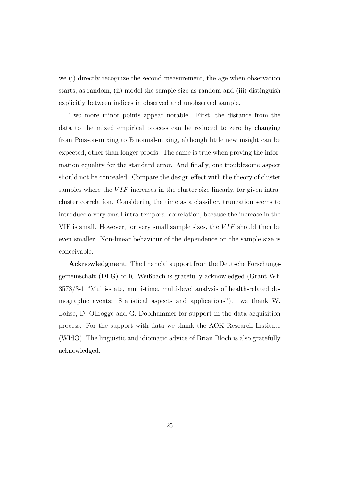we (i) directly recognize the second measurement, the age when observation starts, as random, (ii) model the sample size as random and (iii) distinguish explicitly between indices in observed and unobserved sample.

Two more minor points appear notable. First, the distance from the data to the mixed empirical process can be reduced to zero by changing from Poisson-mixing to Binomial-mixing, although little new insight can be expected, other than longer proofs. The same is true when proving the information equality for the standard error. And finally, one troublesome aspect should not be concealed. Compare the design effect with the theory of cluster samples where the  $VIF$  increases in the cluster size linearly, for given intracluster correlation. Considering the time as a classifier, truncation seems to introduce a very small intra-temporal correlation, because the increase in the VIF is small. However, for very small sample sizes, the  $VIF$  should then be even smaller. Non-linear behaviour of the dependence on the sample size is conceivable.

Acknowledgment: The financial support from the Deutsche Forschungsgemeinschaft (DFG) of R. Weißbach is gratefully acknowledged (Grant WE 3573/3-1 "Multi-state, multi-time, multi-level analysis of health-related demographic events: Statistical aspects and applications"). we thank W. Lohse, D. Ollrogge and G. Doblhammer for support in the data acquisition process. For the support with data we thank the AOK Research Institute (WIdO). The linguistic and idiomatic advice of Brian Bloch is also gratefully acknowledged.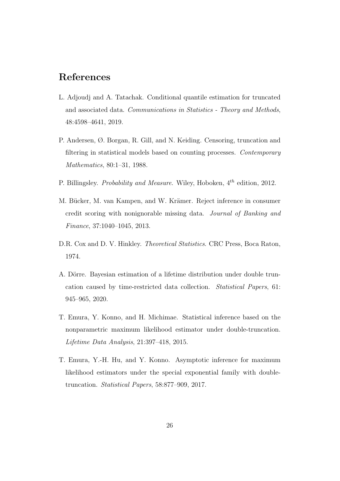# References

- <span id="page-25-1"></span>L. Adjoudj and A. Tatachak. Conditional quantile estimation for truncated and associated data. Communications in Statistics - Theory and Methods, 48:4598–4641, 2019.
- <span id="page-25-7"></span>P. Andersen, Ø. Borgan, R. Gill, and N. Keiding. Censoring, truncation and filtering in statistical models based on counting processes. Contemporary Mathematics, 80:1–31, 1988.
- <span id="page-25-6"></span>P. Billingsley. Probability and Measure. Wiley, Hoboken,  $4^{th}$  edition, 2012.
- <span id="page-25-0"></span>M. Bücker, M. van Kampen, and W. Krämer. Reject inference in consumer credit scoring with nonignorable missing data. Journal of Banking and Finance, 37:1040–1045, 2013.
- <span id="page-25-2"></span>D.R. Cox and D. V. Hinkley. *Theoretical Statistics*. CRC Press, Boca Raton, 1974.
- <span id="page-25-5"></span>A. Dörre. Bayesian estimation of a lifetime distribution under double truncation caused by time-restricted data collection. Statistical Papers, 61: 945–965, 2020.
- <span id="page-25-3"></span>T. Emura, Y. Konno, and H. Michimae. Statistical inference based on the nonparametric maximum likelihood estimator under double-truncation. Lifetime Data Analysis, 21:397–418, 2015.
- <span id="page-25-4"></span>T. Emura, Y.-H. Hu, and Y. Konno. Asymptotic inference for maximum likelihood estimators under the special exponential family with doubletruncation. Statistical Papers, 58:877–909, 2017.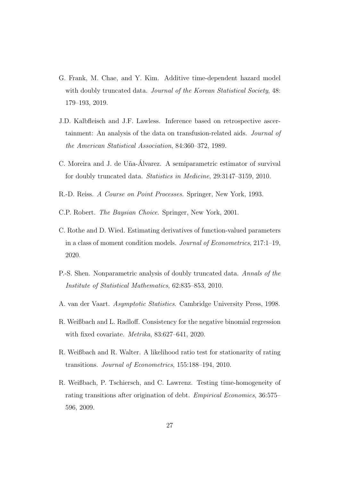- <span id="page-26-3"></span>G. Frank, M. Chae, and Y. Kim. Additive time-dependent hazard model with doubly truncated data. *Journal of the Korean Statistical Society*, 48: 179–193, 2019.
- <span id="page-26-6"></span>J.D. Kalbfleisch and J.F. Lawless. Inference based on retrospective ascertainment: An analysis of the data on transfusion-related aids. Journal of the American Statistical Association, 84:360–372, 1989.
- <span id="page-26-2"></span>C. Moreira and J. de Uña-Álvarez. A semiparametric estimator of survival for doubly truncated data. Statistics in Medicine, 29:3147–3159, 2010.
- <span id="page-26-4"></span>R.-D. Reiss. A Course on Point Processes. Springer, New York, 1993.
- <span id="page-26-7"></span>C.P. Robert. The Baysian Choice. Springer, New York, 2001.
- <span id="page-26-10"></span>C. Rothe and D. Wied. Estimating derivatives of function-valued parameters in a class of moment condition models. Journal of Econometrics, 217:1–19, 2020.
- <span id="page-26-1"></span>P.-S. Shen. Nonparametric analysis of doubly truncated data. Annals of the Institute of Statistical Mathematics, 62:835–853, 2010.
- <span id="page-26-5"></span>A. van der Vaart. Asymptotic Statistics. Cambridge University Press, 1998.
- <span id="page-26-9"></span>R. Weißbach and L. Radloff. Consistency for the negative binomial regression with fixed covariate. Metrika, 83:627–641, 2020.
- <span id="page-26-0"></span>R. Weißbach and R. Walter. A likelihood ratio test for stationarity of rating transitions. Journal of Econometrics, 155:188–194, 2010.
- <span id="page-26-8"></span>R. Weißbach, P. Tschiersch, and C. Lawrenz. Testing time-homogeneity of rating transitions after origination of debt. Empirical Economics, 36:575– 596, 2009.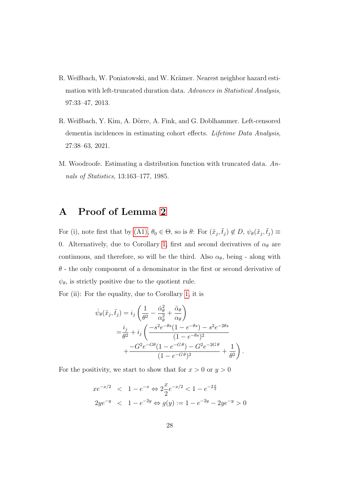- <span id="page-27-1"></span>R. Weißbach, W. Poniatowski, and W. Krämer. Nearest neighbor hazard estimation with left-truncated duration data. Advances in Statistical Analysis, 97:33–47, 2013.
- <span id="page-27-3"></span>R. Weißbach, Y. Kim, A. Dörre, A. Fink, and G. Doblhammer. Left-censored dementia incidences in estimating cohort effects. Lifetime Data Analysis, 27:38–63, 2021.
- <span id="page-27-0"></span>M. Woodroofe. Estimating a distribution function with truncated data. Annals of Statistics, 13:163–177, 1985.

## <span id="page-27-2"></span>A Proof of Lemma [2](#page-9-1)

For (i), note first that by [\(A1\),](#page-4-1)  $\theta_0 \in \Theta$ , so is  $\theta$ : For  $(\tilde{x}_j, \tilde{t}_j) \notin D$ ,  $\psi_{\theta}(\tilde{x}_j, \tilde{t}_j) \equiv$ 0. Alternatively, due to Corollary [1,](#page-5-1) first and second derivatives of  $\alpha_{\theta}$  are continuous, and therefore, so will be the third. Also  $\alpha_{\theta}$ , being - along with  $\theta$  - the only component of a denominator in the first or second derivative of  $\psi_{\theta}$ , is strictly positive due to the quotient rule.

For (ii): For the equality, due to Corollary [1,](#page-5-1) it is

$$
\dot{\psi}_{\theta}(\tilde{x}_{j}, \tilde{t}_{j}) = i_{j} \left( \frac{1}{\theta^{2}} - \frac{\dot{\alpha}_{\theta}^{2}}{\alpha_{\theta}^{2}} + \frac{\ddot{\alpha}_{\theta}}{\alpha_{\theta}} \right)
$$
\n
$$
= \frac{i_{j}}{\theta^{2}} + i_{j} \left( \frac{-s^{2}e^{-\theta s}(1 - e^{-\theta s}) - s^{2}e^{-2\theta s}}{(1 - e^{-\theta s})^{2}} + \frac{-G^{2}e^{-G\theta}(1 - e^{-G\theta}) - G^{2}e^{-2G\theta}}{(1 - e^{-G\theta})^{2}} + \frac{1}{\theta^{2}} \right).
$$

For the positivity, we start to show that for  $x > 0$  or  $y > 0$ 

$$
xe^{-x/2} < 1 - e^{-x} \Leftrightarrow 2\frac{x}{2}e^{-x/2} < 1 - e^{-2\frac{x}{2}}
$$
  

$$
2ye^{-y} < 1 - e^{-2y} \Leftrightarrow g(y) := 1 - e^{-2y} - 2ye^{-y} > 0
$$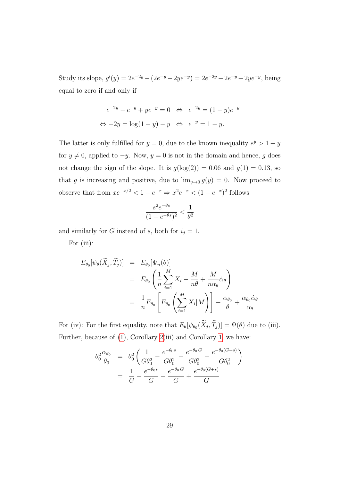Study its slope,  $g'(y) = 2e^{-2y} - (2e^{-y} - 2ye^{-y}) = 2e^{-2y} - 2e^{-y} + 2ye^{-y}$ , being equal to zero if and only if

$$
e^{-2y} - e^{-y} + ye^{-y} = 0 \iff e^{-2y} = (1 - y)e^{-y}
$$
  

$$
\iff -2y = \log(1 - y) - y \iff e^{-y} = 1 - y.
$$

The latter is only fulfilled for  $y = 0$ , due to the known inequality  $e^y > 1 + y$ for  $y \neq 0$ , applied to  $-y$ . Now,  $y = 0$  is not in the domain and hence, g does not change the sign of the slope. It is  $g(log(2)) = 0.06$  and  $g(1) = 0.13$ , so that g is increasing and positive, due to  $\lim_{y\to 0} g(y) = 0$ . Now proceed to observe that from  $xe^{-x/2} < 1 - e^{-x} \Rightarrow x^2 e^{-x} < (1 - e^{-x})^2$  follows

$$
\frac{s^2 e^{-\theta s}}{(1 - e^{-\theta s})^2} < \frac{1}{\theta^2}
$$

and similarly for G instead of s, both for  $i_j = 1$ .

For (iii):

$$
E_{\theta_0}[\psi_{\theta}(\widetilde{X}_j, \widetilde{T}_j)] = E_{\theta_0}[\Psi_n(\theta)]
$$
  
= 
$$
E_{\theta_0} \left( \frac{1}{n} \sum_{i=1}^M X_i - \frac{M}{n\theta} + \frac{M}{n\alpha_{\theta}} \dot{\alpha}_{\theta} \right)
$$
  
= 
$$
\frac{1}{n} E_{\theta_0} \left[ E_{\theta_0} \left( \sum_{i=1}^M X_i | M \right) \right] - \frac{\alpha_{\theta_0}}{\theta} + \frac{\alpha_{\theta_0} \dot{\alpha}_{\theta}}{\alpha_{\theta}}
$$

For (iv): For the first equality, note that  $E_{\theta}[\psi_{\theta_0}(X_j, T_j)] = \Psi(\theta)$  due to (iii). Further, because of [\(1\)](#page-5-0), Corollary [2\(](#page-6-1)iii) and Corollary [1,](#page-5-1) we have:

$$
\theta_0^2 \frac{\alpha_{\theta_0}}{\theta_0} = \theta_0^2 \left( \frac{1}{G \theta_0^2} - \frac{e^{-\theta_0 s}}{G \theta_0^2} - \frac{e^{-\theta_0 G}}{G \theta_0^2} + \frac{e^{-\theta_0 (G+s)}}{G \theta_0^2} \right)
$$

$$
= \frac{1}{G} - \frac{e^{-\theta_0 s}}{G} - \frac{e^{-\theta_0 G}}{G} + \frac{e^{-\theta_0 (G+s)}}{G}
$$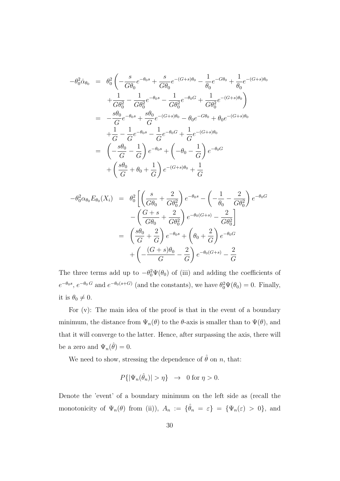$$
-\theta_0^2 \dot{\alpha}_{\theta_0} = \theta_0^2 \left( -\frac{s}{G\theta_0} e^{-\theta_0 s} + \frac{s}{G\theta_0} e^{-(G+s)\theta_0} - \frac{1}{\theta_0} e^{-G\theta_0} + \frac{1}{\theta_0} e^{-(G+s)\theta_0} \right) + \frac{1}{G\theta_0^2} - \frac{1}{G\theta_0^2} e^{-\theta_0 s} - \frac{1}{G\theta_0^2} e^{-\theta_0 G} + \frac{1}{G\theta_0^2} e^{-(G+s)\theta_0} \right) = -\frac{s\theta_0}{G} e^{-\theta_0 s} + \frac{s\theta_0}{G} e^{-(G+s)\theta_0} - \theta_0 e^{-G\theta_0} + \theta_0 e^{-(G+s)\theta_0} + \frac{1}{G} - \frac{1}{G} e^{-\theta_0 s} - \frac{1}{G} e^{-\theta_0 G} + \frac{1}{G} e^{-(G+s)\theta_0} = \left( -\frac{s\theta_0}{G} - \frac{1}{G} \right) e^{-\theta_0 s} + \left( -\theta_0 - \frac{1}{G} \right) e^{-\theta_0 G} + \left( \frac{s\theta_0}{G} + \theta_0 + \frac{1}{G} \right) e^{-(G+s)\theta_0} + \frac{1}{G}
$$

$$
-\theta_0^2 \alpha_{\theta_0} E_{\theta_0}(X_i) = \theta_0^2 \left[ \left( \frac{s}{G\theta_0} + \frac{2}{G\theta_0^2} \right) e^{-\theta_0 s} - \left( -\frac{1}{\theta_0} - \frac{2}{G\theta_0^2} \right) e^{-\theta_0 G} - \left( \frac{G+s}{G\theta_0} + \frac{2}{G\theta_0^2} \right) e^{-\theta_0 (G+s)} - \frac{2}{G\theta_0^2} \right]
$$
  

$$
= \left( \frac{s\theta_0}{G} + \frac{2}{G} \right) e^{-\theta_0 s} + \left( \theta_0 + \frac{2}{G} \right) e^{-\theta_0 G} + \left( -\frac{(G+s)\theta_0}{G} - \frac{2}{G} \right) e^{-\theta_0 (G+s)} - \frac{2}{G}
$$

The three terms add up to  $-\theta_0^2\Psi(\theta_0)$  of (iii) and adding the coefficients of  $e^{-\theta_0 s}$ ,  $e^{-\theta_0 G}$  and  $e^{-\theta_0 (s+G)}$  (and the constants), we have  $\theta_0^2 \Psi(\theta_0) = 0$ . Finally, it is  $\theta_0 \neq 0$ .

For (v): The main idea of the proof is that in the event of a boundary minimum, the distance from  $\Psi_n(\theta)$  to the  $\theta$ -axis is smaller than to  $\Psi(\theta)$ , and that it will converge to the latter. Hence, after surpassing the axis, there will be a zero and  $\Psi_n(\hat{\theta}) = 0$ .

We need to show, stressing the dependence of  $\hat{\theta}$  on n, that:

$$
P\{|\Psi_n(\hat{\theta}_n)| > \eta\} \rightarrow 0 \text{ for } \eta > 0.
$$

Denote the 'event' of a boundary minimum on the left side as (recall the monotonicity of  $\Psi_n(\theta)$  from (ii)),  $A_n := \{\hat{\theta}_n = \varepsilon\} = {\Psi_n(\varepsilon) > 0}$ , and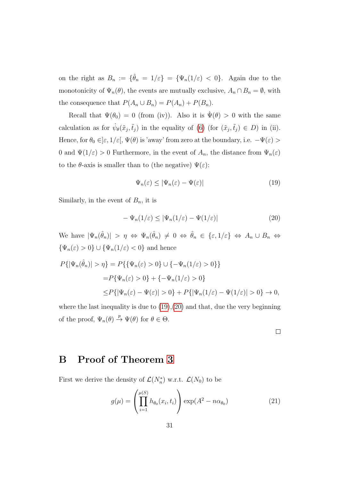on the right as  $B_n := \{\hat{\theta}_n = 1/\varepsilon\} = {\Psi_n(1/\varepsilon) < 0}.$  Again due to the monotonicity of  $\Psi_n(\theta)$ , the events are mutually exclusive,  $A_n \cap B_n = \emptyset$ , with the consequence that  $P(A_n \cup B_n) = P(A_n) + P(B_n)$ .

Recall that  $\Psi(\theta_0) = 0$  (from (iv)). Also it is  $\Psi(\theta) > 0$  with the same calculation as for  $\dot{\psi}_{\theta}(\tilde{x}_j, \tilde{t}_j)$  in the equality of [\(6\)](#page-9-2) (for  $(\tilde{x}_j, \tilde{t}_j) \in D$ ) in (ii). Hence, for  $\theta_0 \in ]\varepsilon, 1/\varepsilon[$ ,  $\Psi(\theta)$  is 'away' from zero at the boundary, i.e.  $-\Psi(\varepsilon)$  > 0 and  $\Psi(1/\varepsilon) > 0$  Furthermore, in the event of  $A_n$ , the distance from  $\Psi_n(\varepsilon)$ to the  $\theta$ -axis is smaller than to (the negative)  $\Psi(\varepsilon)$ :

<span id="page-30-1"></span>
$$
\Psi_n(\varepsilon) \le |\Psi_n(\varepsilon) - \Psi(\varepsilon)| \tag{19}
$$

Similarly, in the event of  $B_n$ , it is

<span id="page-30-2"></span>
$$
-\Psi_n(1/\varepsilon) \le |\Psi_n(1/\varepsilon) - \Psi(1/\varepsilon)| \tag{20}
$$

We have  $|\Psi_n(\hat{\theta}_n)| > \eta \Leftrightarrow \Psi_n(\hat{\theta}_n) \neq 0 \Leftrightarrow \hat{\theta}_n \in \{\varepsilon, 1/\varepsilon\} \Leftrightarrow A_n \cup B_n \Leftrightarrow$  $\{\Psi_n(\varepsilon)>0\}\cup\{\Psi_n(1/\varepsilon)<0\}$  and hence

$$
P\{|\Psi_n(\hat{\theta}_n)| > \eta\} = P\{\{\Psi_n(\varepsilon) > 0\} \cup \{-\Psi_n(1/\varepsilon) > 0\}\}\
$$
  
= 
$$
P\{\Psi_n(\varepsilon) > 0\} + \{-\Psi_n(1/\varepsilon) > 0\}\
$$
  

$$
\leq P\{|\Psi_n(\varepsilon) - \Psi(\varepsilon)| > 0\} + P\{|\Psi_n(1/\varepsilon) - \Psi(1/\varepsilon)| > 0\} \to 0,
$$

where the last inequality is due to  $(19),(20)$  $(19),(20)$  $(19),(20)$  and that, due the very beginning of the proof,  $\Psi_n(\theta) \stackrel{p}{\rightarrow} \Psi(\theta)$  for  $\theta \in \Theta$ .

#### <span id="page-30-0"></span>B Proof of Theorem [3](#page-17-0)

First we derive the density of  $\mathcal{L}(N_n^*)$  w.r.t.  $\mathcal{L}(N_0)$  to be

<span id="page-30-3"></span>
$$
g(\mu) = \left(\prod_{i=1}^{\mu(S)} h_{\theta_0}(x_i, t_i)\right) \exp(A^2 - n\alpha_{\theta_0})
$$
 (21)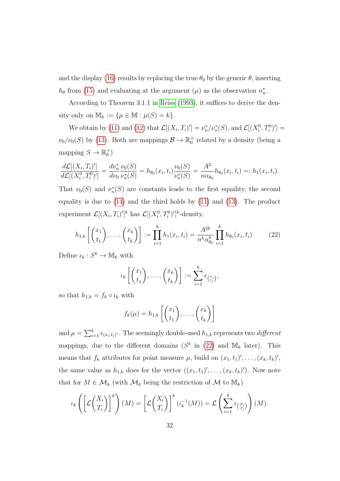and the display [\(16\)](#page-17-1) results by replacing the true  $\theta_0$  by the generic  $\theta$ , inserting  $h_{\theta}$  from [\(15\)](#page-17-2) and evaluating at the argument ( $\mu$ ) as the observation  $n_n^*$ .

According to Theorem 3.1.1 in [Reiss](#page-26-4) [\(1993\)](#page-26-4), it suffices to derive the density only on  $\mathbb{M}_k := \{ \mu \in \mathbb{M} : \mu(S) = k \}.$ 

We obtain by [\(11\)](#page-14-1) and [\(12\)](#page-15-2) that  $\mathcal{L}[(X_i,T_i)'] = \nu_n^*/\nu_n^*(S)$ , and  $\mathcal{L}[(X_i^0,T_i^0)'] =$  $\nu_0/\nu_0(S)$  by [\(13\)](#page-16-1). Both are mappings  $\mathcal{B} \to \mathbb{R}_0^+$  related by a density (being a mapping  $S \to \mathbb{R}_0^+$ )

$$
\frac{d\mathcal{L}[(X_i, T_i)']}{d\mathcal{L}[(X_i^0, T_i^0)']} = \frac{d\nu_n^*}{d\nu_0} \frac{\nu_0(S)}{\nu_n^*(S)} = h_{\theta_0}(x_i, t_i) \frac{\nu_0(S)}{\nu_n^*(S)} = \frac{A^2}{n\alpha_{\theta_0}} h_{\theta_0}(x_i, t_i) =: h_1(x_i, t_i).
$$

That  $\nu_0(S)$  and  $\nu_n^*(S)$  are constants leads to the first equality, the second equality is due to [\(14\)](#page-16-2) and the third holds by [\(11\)](#page-14-1) and [\(13\)](#page-16-1). The product experiment  $\mathcal{L}[(X_i, T_i)']^k$  has  $\mathcal{L}[(X_i^0, T_i^0)']^k$ -density,

<span id="page-31-0"></span>
$$
h_{1,k}\left[\binom{x_1}{t_1},\ldots,\binom{x_k}{t_k}\right] := \prod_{i=1}^k h_1(x_i,t_i) = \frac{A^{2k}}{n^k \alpha_{\theta_0}^k} \prod_{i=1}^k h_{\theta_0}(x_i,t_i) \tag{22}
$$

Define  $\iota_k: S^k \to \mathbb{M}_k$  with

$$
\iota_k \left[ \binom{x_1}{t_1}, \ldots, \binom{x_k}{t_k} \right] := \sum_{i=1}^k \epsilon_{\binom{x_i}{t_i}},
$$

so that  $h_{1,k} = f_k \circ \iota_k$  with

$$
f_k(\mu) = h_{1,k}\left[\binom{x_1}{t_1},\ldots,\binom{x_k}{t_k}\right]
$$

and  $\mu = \sum_{i=1}^{k} \epsilon_{(x_i, t_i)'}.$  The seemingly double-used  $h_{1,k}$  represents two *different* mappings, due to the different domains  $(S^k$  in  $(22)$  and  $\mathbb{M}_k$  later). This means that  $f_k$  attributes for point measure  $\mu$ , build on  $(x_1, t_1)', \ldots, (x_k, t_k)',$ the same value as  $h_{1,k}$  does for the vector  $((x_1, t_1)', \ldots, (x_k, t_k)')$ . Now note that for  $M \in \mathcal{M}_k$  (with  $\mathcal{M}_k$  being the restriction of  $\mathcal{M}$  to  $\mathbb{M}_k$ )

$$
\iota_k\left(\left[\mathcal{L}\binom{X_i}{T_i}\right]^k\right)(M) = \left[\mathcal{L}\binom{X_i}{T_i}\right]^k(\iota_k^{-1}(M)) = \mathcal{L}\left(\sum_{i=1}^k \epsilon_{\binom{X_i}{T_i}}\right)(M).
$$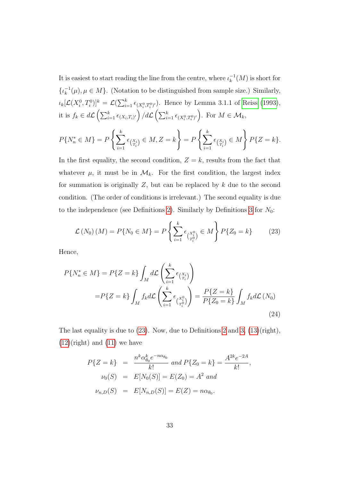It is easiest to start reading the line from the centre, where  $\iota_k^{-1}$  $\frac{1}{k}(M)$  is short for  $\{\iota_k^{-1}$  $_{k}^{-1}(\mu), \mu \in M$ . (Notation to be distinguished from sample size.) Similarly,  $\iota_k[\mathcal{L}(X_i^0, T_i^0)]^k = \mathcal{L}(\sum_{i=1}^k \epsilon_{(X_i^0, T_i^0)'})$ . Hence by Lemma 3.1.1 of [Reiss](#page-26-4) [\(1993\)](#page-26-4), it is  $f_k \in d\mathcal{L}\left(\sum_{i=1}^k \epsilon_{(X_i,T_i)'}\right) / d\mathcal{L}\left(\sum_{i=1}^k \epsilon_{(X_i^0,T_i^0)'}\right)$ . For  $M \in \mathcal{M}_k$ ,

$$
P\{N_n^* \in M\} = P\left\{\sum_{i=1}^k \epsilon_{\binom{X_i}{T_i}} \in M, Z = k\right\} = P\left\{\sum_{i=1}^k \epsilon_{\binom{X_i}{T_i}} \in M\right\} P\{Z = k\}.
$$

In the first equality, the second condition,  $Z = k$ , results from the fact that whatever  $\mu$ , it must be in  $\mathcal{M}_k$ . For the first condition, the largest index for summation is originally  $Z$ , but can be replaced by  $k$  due to the second condition. (The order of conditions is irrelevant.) The second equality is due to the independence (see Definitions [2\)](#page-15-0). Similarly by Definitions [3](#page-16-0) for  $N_0$ :

<span id="page-32-0"></span>
$$
\mathcal{L}(N_0)(M) = P\{N_0 \in M\} = P\left\{\sum_{i=1}^k \epsilon_{\binom{X_i^0}{T_i^0}} \in M\right\} P\{Z_0 = k\}
$$
 (23)

Hence,

<span id="page-32-1"></span>
$$
P\{N_n^* \in M\} = P\{Z = k\} \int_M d\mathcal{L} \left(\sum_{i=1}^k \epsilon_{\binom{X_i}{T_i}}\right)
$$
  

$$
= P\{Z = k\} \int_M f_k d\mathcal{L} \left(\sum_{i=1}^k \epsilon_{\binom{X_i^0}{T_i^0}}\right) = \frac{P\{Z = k\}}{P\{Z_0 = k\}} \int_M f_k d\mathcal{L} \left(N_0\right)
$$
  
(24)

The last equality is due to [\(23\)](#page-32-0). Now, due to Definitions [2](#page-15-0) and [3,](#page-16-0) [\(13\)](#page-16-1)(right),  $(12)(\text{right})$  $(12)(\text{right})$  and  $(11)$  we have

$$
P\{Z = k\} = \frac{n^k \alpha_{\theta_0}^k e^{-n\alpha_{\theta_0}}}{k!} \text{ and } P\{Z_0 = k\} = \frac{A^{2k} e^{-2A}}{k!},
$$
  

$$
\nu_0(S) = E[N_0(S)] = E(Z_0) = A^2 \text{ and}
$$
  

$$
\nu_{n,D}(S) = E[N_{n,D}(S)] = E(Z) = n\alpha_{\theta_0}.
$$